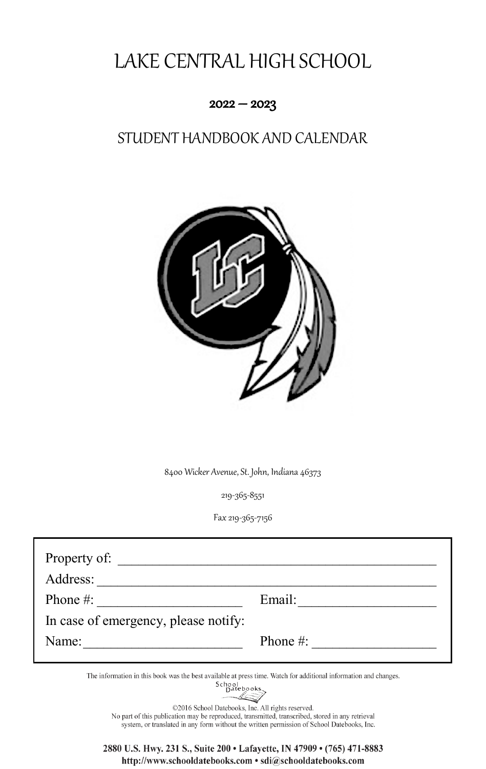# LAKE CENTRAL HIGH SCHOOL

#### $2022 - 2023$

## STUDENT HANDBOOK AND CALENDAR



8400 Wicker Avenue, St. John, Indiana 46373

219-365-8551

Fax 219-365-7156

| Email:       |
|--------------|
|              |
| Phone $\#$ : |
|              |

The information in this book was the best available at press time. Watch for additional information and changes.



©2016 School Datebooks, Inc. All rights reserved. No part of this publication may be reproduced, transmitted, transcribed, stored in any retrieval system, or translated in any form without the written permission of School Datebooks, Inc.

2880 U.S. Hwy. 231 S., Suite 200 · Lafayette, IN 47909 · (765) 471-8883 http://www.schooldatebooks.com · sdi@schooldatebooks.com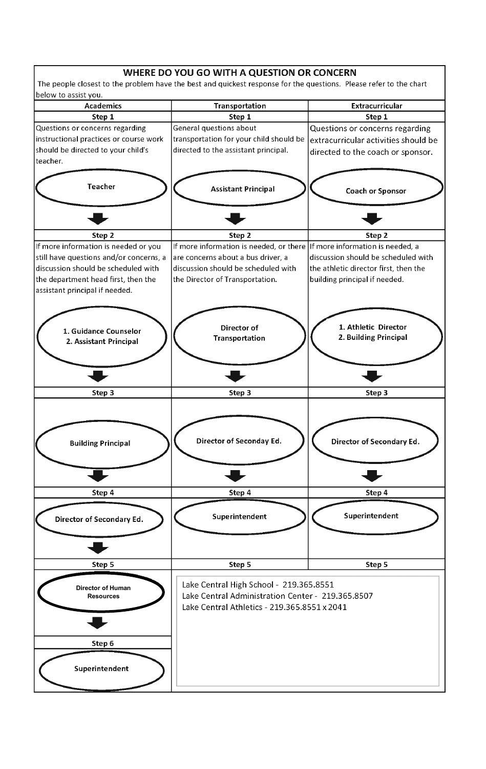#### WHERE DO YOU GO WITH A QUESTION OR CONCERN

The people closest to the problem have the best and quickest response for the questions. Please refer to the chart below to assist you.

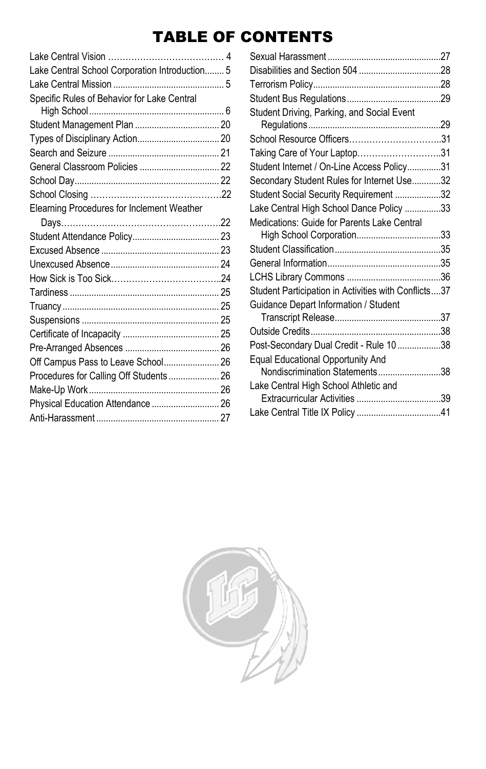## TABLE OF CONTENTS

| Lake Central School Corporation Introduction 5 |  |
|------------------------------------------------|--|
|                                                |  |
| Specific Rules of Behavior for Lake Central    |  |
|                                                |  |
|                                                |  |
|                                                |  |
|                                                |  |
|                                                |  |
|                                                |  |
|                                                |  |
| Elearning Procedures for Inclement Weather     |  |
|                                                |  |
|                                                |  |
|                                                |  |
|                                                |  |
|                                                |  |
|                                                |  |
|                                                |  |
|                                                |  |
|                                                |  |
|                                                |  |
| Off Campus Pass to Leave School 26             |  |
| Procedures for Calling Off Students 26         |  |
|                                                |  |
| Physical Education Attendance  26              |  |
|                                                |  |
|                                                |  |

| Student Driving, Parking, and Social Event           |  |
|------------------------------------------------------|--|
|                                                      |  |
| School Resource Officers31                           |  |
| Taking Care of Your Laptop31                         |  |
| Student Internet / On-Line Access Policy31           |  |
| Secondary Student Rules for Internet Use32           |  |
| Student Social Security Requirement 32               |  |
| Lake Central High School Dance Policy 33             |  |
| Medications: Guide for Parents Lake Central          |  |
|                                                      |  |
|                                                      |  |
|                                                      |  |
|                                                      |  |
| Student Participation in Activities with Conflicts37 |  |
| Guidance Depart Information / Student                |  |
|                                                      |  |
|                                                      |  |
| Post-Secondary Dual Credit - Rule 10 38              |  |
| <b>Equal Educational Opportunity And</b>             |  |
| Nondiscrimination Statements38                       |  |
| Lake Central High School Athletic and                |  |
|                                                      |  |
|                                                      |  |

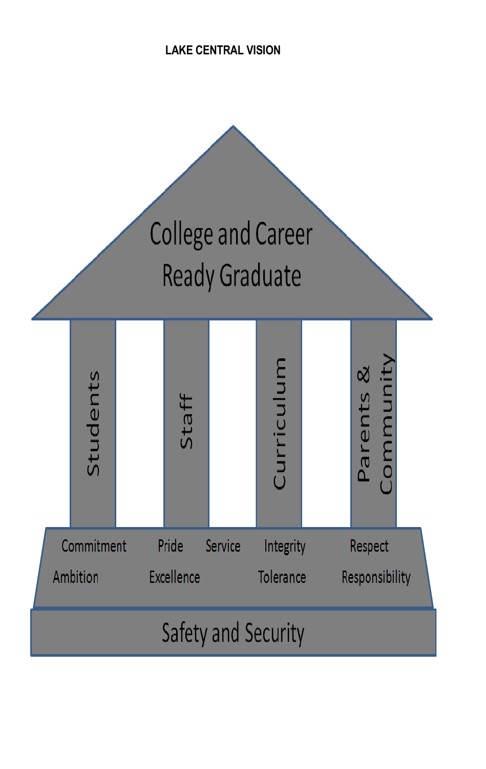**LAKE CENTRAL VISION**

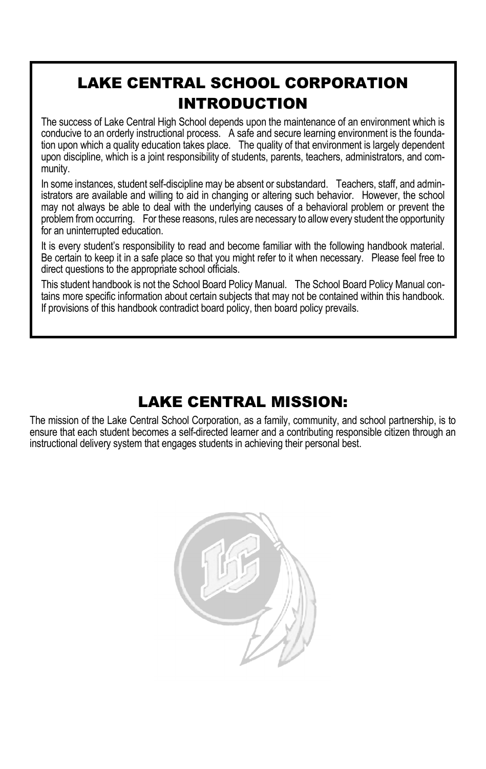## LAKE CENTRAL SCHOOL CORPORATION INTRODUCTION

The success of Lake Central High School depends upon the maintenance of an environment which is conducive to an orderly instructional process. A safe and secure learning environment is the foundation upon which a quality education takes place. The quality of that environment is largely dependent upon discipline, which is a joint responsibility of students, parents, teachers, administrators, and community.

In some instances, student self-discipline may be absent or substandard. Teachers, staff, and administrators are available and willing to aid in changing or altering such behavior. However, the school may not always be able to deal with the underlying causes of a behavioral problem or prevent the problem from occurring. For these reasons, rules are necessary to allow every student the opportunity for an uninterrupted education.

It is every student's responsibility to read and become familiar with the following handbook material. Be certain to keep it in a safe place so that you might refer to it when necessary. Please feel free to direct questions to the appropriate school officials.

This student handbook is not the School Board Policy Manual. The School Board Policy Manual contains more specific information about certain subjects that may not be contained within this handbook. If provisions of this handbook contradict board policy, then board policy prevails.

## LAKE CENTRAL MISSION:

The mission of the Lake Central School Corporation, as a family, community, and school partnership, is to ensure that each student becomes a self-directed learner and a contributing responsible citizen through an instructional delivery system that engages students in achieving their personal best.

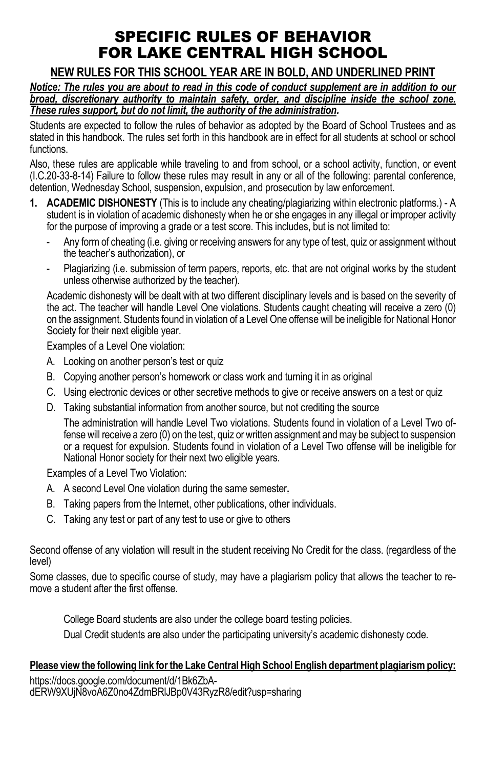## SPECIFIC RULES OF BEHAVIOR FOR LAKE CENTRAL HIGH SCHOOL

### **NEW RULES FOR THIS SCHOOL YEAR ARE IN BOLD, AND UNDERLINED PRINT**

*Notice: The rules you are about to read in this code of conduct supplement are in addition to our broad, discretionary authority to maintain safety, order, and discipline inside the school zone. These rules support, but do not limit, the authority of the administration.*

Students are expected to follow the rules of behavior as adopted by the Board of School Trustees and as stated in this handbook. The rules set forth in this handbook are in effect for all students at school or school functions.

Also, these rules are applicable while traveling to and from school, or a school activity, function, or event (I.C.20-33-8-14) Failure to follow these rules may result in any or all of the following: parental conference, detention, Wednesday School, suspension, expulsion, and prosecution by law enforcement.

- **1. ACADEMIC DISHONESTY** (This is to include any cheating/plagiarizing within electronic platforms.) A student is in violation of academic dishonesty when he or she engages in any illegal or improper activity for the purpose of improving a grade or a test score. This includes, but is not limited to:
	- Any form of cheating (i.e. giving or receiving answers for any type of test, quiz or assignment without the teacher's authorization), or
	- Plagiarizing (i.e. submission of term papers, reports, etc. that are not original works by the student unless otherwise authorized by the teacher).

Academic dishonesty will be dealt with at two different disciplinary levels and is based on the severity of the act. The teacher will handle Level One violations. Students caught cheating will receive a zero (0) on the assignment. Students found in violation of a Level One offense will be ineligible for National Honor Society for their next eligible year.

Examples of a Level One violation:

- A. Looking on another person's test or quiz
- B. Copying another person's homework or class work and turning it in as original
- C. Using electronic devices or other secretive methods to give or receive answers on a test or quiz
- D. Taking substantial information from another source, but not crediting the source

The administration will handle Level Two violations. Students found in violation of a Level Two offense will receive a zero (0) on the test, quiz or written assignment and may be subject to suspension or a request for expulsion. Students found in violation of a Level Two offense will be ineligible for National Honor society for their next two eligible years.

Examples of a Level Two Violation:

- A. A second Level One violation during the same semester**.**
- B. Taking papers from the Internet, other publications, other individuals.
- C. Taking any test or part of any test to use or give to others

Second offense of any violation will result in the student receiving No Credit for the class. (regardless of the level)

Some classes, due to specific course of study, may have a plagiarism policy that allows the teacher to remove a student after the first offense.

College Board students are also under the college board testing policies. Dual Credit students are also under the participating university's academic dishonesty code.

#### **Please view the following link for the Lake Central High School English department plagiarism policy:**

https://docs.google.com/document/d/1Bk6ZbAdERW9XUjN8voA6Z0no4ZdmBRlJBp0V43RyzR8/edit?usp=sharing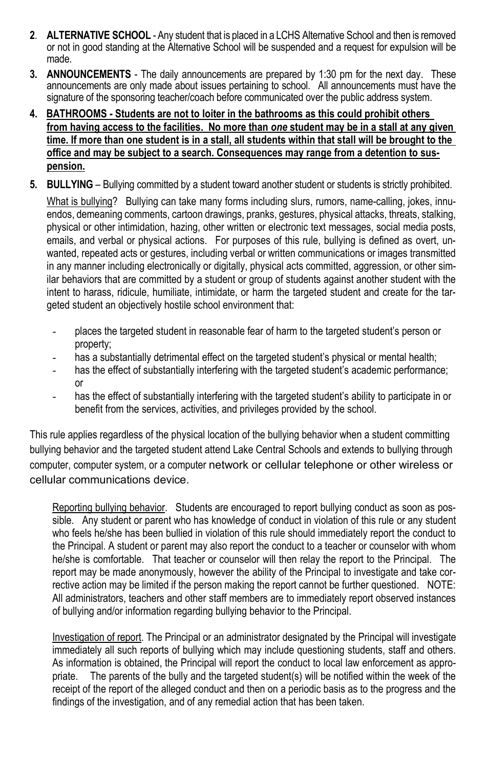- **2**. **ALTERNATIVE SCHOOL** Any student that is placed in a LCHS Alternative School and then is removed or not in good standing at the Alternative School will be suspended and a request for expulsion will be made.
- **3. ANNOUNCEMENTS** The daily announcements are prepared by 1:30 pm for the next day. These announcements are only made about issues pertaining to school. All announcements must have the signature of the sponsoring teacher/coach before communicated over the public address system.
- **4. BATHROOMS Students are not to loiter in the bathrooms as this could prohibit others from having access to the facilities. No more than** *one* **student may be in a stall at any given time. If more than one student is in a stall, all students within that stall will be brought to the office and may be subject to a search. Consequences may range from a detention to suspension.**
- **5. BULLYING**  Bullying committed by a student toward another student or students is strictly prohibited.

What is bullying? Bullying can take many forms including slurs, rumors, name-calling, jokes, innuendos, demeaning comments, cartoon drawings, pranks, gestures, physical attacks, threats, stalking, physical or other intimidation, hazing, other written or electronic text messages, social media posts, emails, and verbal or physical actions. For purposes of this rule, bullying is defined as overt, unwanted, repeated acts or gestures, including verbal or written communications or images transmitted in any manner including electronically or digitally, physical acts committed, aggression, or other similar behaviors that are committed by a student or group of students against another student with the intent to harass, ridicule, humiliate, intimidate, or harm the targeted student and create for the targeted student an objectively hostile school environment that:

- places the targeted student in reasonable fear of harm to the targeted student's person or property;
- has a substantially detrimental effect on the targeted student's physical or mental health;
- has the effect of substantially interfering with the targeted student's academic performance; or
- has the effect of substantially interfering with the targeted student's ability to participate in or benefit from the services, activities, and privileges provided by the school.

This rule applies regardless of the physical location of the bullying behavior when a student committing bullying behavior and the targeted student attend Lake Central Schools and extends to bullying through computer, computer system, or a computer network or cellular telephone or other wireless or cellular communications device.

Reporting bullying behavior. Students are encouraged to report bullying conduct as soon as possible. Any student or parent who has knowledge of conduct in violation of this rule or any student who feels he/she has been bullied in violation of this rule should immediately report the conduct to the Principal. A student or parent may also report the conduct to a teacher or counselor with whom he/she is comfortable. That teacher or counselor will then relay the report to the Principal. The report may be made anonymously, however the ability of the Principal to investigate and take corrective action may be limited if the person making the report cannot be further questioned. NOTE: All administrators, teachers and other staff members are to immediately report observed instances of bullying and/or information regarding bullying behavior to the Principal.

Investigation of report. The Principal or an administrator designated by the Principal will investigate immediately all such reports of bullying which may include questioning students, staff and others. As information is obtained, the Principal will report the conduct to local law enforcement as appropriate. The parents of the bully and the targeted student(s) will be notified within the week of the receipt of the report of the alleged conduct and then on a periodic basis as to the progress and the findings of the investigation, and of any remedial action that has been taken.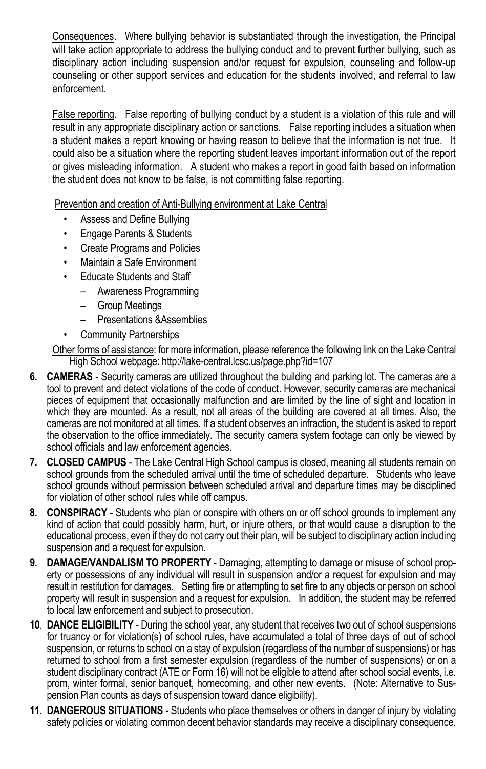Consequences. Where bullying behavior is substantiated through the investigation, the Principal will take action appropriate to address the bullying conduct and to prevent further bullying, such as disciplinary action including suspension and/or request for expulsion, counseling and follow-up counseling or other support services and education for the students involved, and referral to law enforcement.

False reporting. False reporting of bullying conduct by a student is a violation of this rule and will result in any appropriate disciplinary action or sanctions. False reporting includes a situation when a student makes a report knowing or having reason to believe that the information is not true. It could also be a situation where the reporting student leaves important information out of the report or gives misleading information. A student who makes a report in good faith based on information the student does not know to be false, is not committing false reporting.

Prevention and creation of Anti-Bullying environment at Lake Central

- Assess and Define Bullying
- Engage Parents & Students
- Create Programs and Policies
- Maintain a Safe Environment
- Educate Students and Staff
	- Awareness Programming
	- Group Meetings
	- Presentations &Assemblies
	- Community Partnerships

Other forms of assistance: for more information, please reference the following link on the Lake Central High School webpage: http://lake-central.lcsc.us/page.php?id=107

- **6. CAMERAS** Security cameras are utilized throughout the building and parking lot. The cameras are a tool to prevent and detect violations of the code of conduct. However, security cameras are mechanical pieces of equipment that occasionally malfunction and are limited by the line of sight and location in which they are mounted. As a result, not all areas of the building are covered at all times. Also, the cameras are not monitored at all times. If a student observes an infraction, the student is asked to report the observation to the office immediately. The security camera system footage can only be viewed by school officials and law enforcement agencies.
- **7. CLOSED CAMPUS** The Lake Central High School campus is closed, meaning all students remain on school grounds from the scheduled arrival until the time of scheduled departure. Students who leave school grounds without permission between scheduled arrival and departure times may be disciplined for violation of other school rules while off campus.
- **8. CONSPIRACY** Students who plan or conspire with others on or off school grounds to implement any kind of action that could possibly harm, hurt, or injure others, or that would cause a disruption to the educational process, even if they do not carry out their plan, will be subject to disciplinary action including suspension and a request for expulsion.
- **9. DAMAGE/VANDALISM TO PROPERTY** Damaging, attempting to damage or misuse of school property or possessions of any individual will result in suspension and/or a request for expulsion and may result in restitution for damages. Setting fire or attempting to set fire to any objects or person on school property will result in suspension and a request for expulsion. In addition, the student may be referred to local law enforcement and subject to prosecution.
- **10**. **DANCE ELIGIBILITY** During the school year, any student that receives two out of school suspensions for truancy or for violation(s) of school rules, have accumulated a total of three days of out of school suspension, or returns to school on a stay of expulsion (regardless of the number of suspensions) or has returned to school from a first semester expulsion (regardless of the number of suspensions) or on a student disciplinary contract (ATE or Form 16) will not be eligible to attend after school social events, i.e. prom, winter formal, senior banquet, homecoming, and other new events. (Note: Alternative to Suspension Plan counts as days of suspension toward dance eligibility).
- **11. DANGEROUS SITUATIONS** Students who place themselves or others in danger of injury by violating safety policies or violating common decent behavior standards may receive a disciplinary consequence.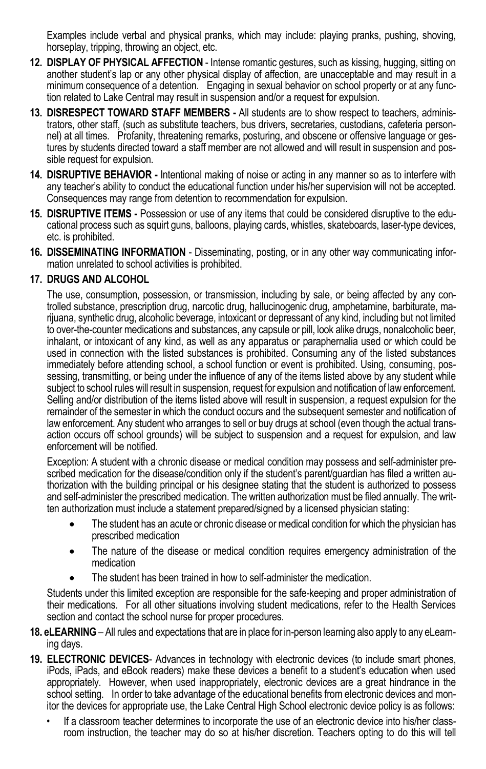Examples include verbal and physical pranks, which may include: playing pranks, pushing, shoving, horseplay, tripping, throwing an object, etc.

- **12. DISPLAY OF PHYSICAL AFFECTION** Intense romantic gestures, such as kissing, hugging, sitting on another student's lap or any other physical display of affection, are unacceptable and may result in a minimum consequence of a detention. Engaging in sexual behavior on school property or at any function related to Lake Central may result in suspension and/or a request for expulsion.
- **13. DISRESPECT TOWARD STAFF MEMBERS -** All students are to show respect to teachers, administrators, other staff, (such as substitute teachers, bus drivers, secretaries, custodians, cafeteria personnel) at all times. Profanity, threatening remarks, posturing, and obscene or offensive language or gestures by students directed toward a staff member are not allowed and will result in suspension and possible request for expulsion.
- **14. DISRUPTIVE BEHAVIOR -** Intentional making of noise or acting in any manner so as to interfere with any teacher's ability to conduct the educational function under his/her supervision will not be accepted. Consequences may range from detention to recommendation for expulsion.
- **15. DISRUPTIVE ITEMS -** Possession or use of any items that could be considered disruptive to the educational process such as squirt guns, balloons, playing cards, whistles, skateboards, laser-type devices, etc. is prohibited.
- **16. DISSEMINATING INFORMATION**  Disseminating, posting, or in any other way communicating information unrelated to school activities is prohibited.

#### **17. DRUGS AND ALCOHOL**

The use, consumption, possession, or transmission, including by sale, or being affected by any controlled substance, prescription drug, narcotic drug, hallucinogenic drug, amphetamine, barbiturate, marijuana, synthetic drug, alcoholic beverage, intoxicant or depressant of any kind, including but not limited to over-the-counter medications and substances, any capsule or pill, look alike drugs, nonalcoholic beer, inhalant, or intoxicant of any kind, as well as any apparatus or paraphernalia used or which could be used in connection with the listed substances is prohibited. Consuming any of the listed substances immediately before attending school, a school function or event is prohibited. Using, consuming, possessing, transmitting, or being under the influence of any of the items listed above by any student while subject to school rules will result in suspension, request for expulsion and notification of law enforcement. Selling and/or distribution of the items listed above will result in suspension, a request expulsion for the remainder of the semester in which the conduct occurs and the subsequent semester and notification of law enforcement. Any student who arranges to sell or buy drugs at school (even though the actual transaction occurs off school grounds) will be subject to suspension and a request for expulsion, and law enforcement will be notified.

Exception: A student with a chronic disease or medical condition may possess and self-administer prescribed medication for the disease/condition only if the student's parent/quardian has filed a written authorization with the building principal or his designee stating that the student is authorized to possess and self-administer the prescribed medication. The written authorization must be filed annually. The written authorization must include a statement prepared/signed by a licensed physician stating:

- The student has an acute or chronic disease or medical condition for which the physician has prescribed medication
- The nature of the disease or medical condition requires emergency administration of the medication
- The student has been trained in how to self-administer the medication.

Students under this limited exception are responsible for the safe-keeping and proper administration of their medications. For all other situations involving student medications, refer to the Health Services section and contact the school nurse for proper procedures.

- **18. eLEARNING** All rules and expectations that are in place for in-person learning also apply to any eLearning days.
- **19. ELECTRONIC DEVICES** Advances in technology with electronic devices (to include smart phones, iPods, iPads, and eBook readers) make these devices a benefit to a student's education when used appropriately. However, when used inappropriately, electronic devices are a great hindrance in the school setting. In order to take advantage of the educational benefits from electronic devices and monitor the devices for appropriate use, the Lake Central High School electronic device policy is as follows:
	- If a classroom teacher determines to incorporate the use of an electronic device into his/her classroom instruction, the teacher may do so at his/her discretion. Teachers opting to do this will tell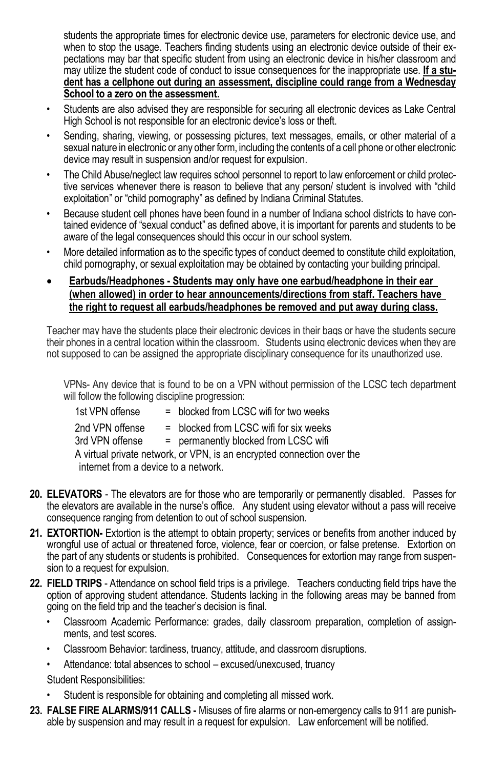students the appropriate times for electronic device use, parameters for electronic device use, and when to stop the usage. Teachers finding students using an electronic device outside of their expectations may bar that specific student from using an electronic device in his/her classroom and may utilize the student code of conduct to issue consequences for the inappropriate use. **If a student has a cellphone out during an assessment, discipline could range from a Wednesday School to a zero on the assessment.**

- Students are also advised they are responsible for securing all electronic devices as Lake Central High School is not responsible for an electronic device's loss or theft.
- Sending, sharing, viewing, or possessing pictures, text messages, emails, or other material of a sexual nature in electronic or any other form, including the contents of a cell phone or other electronic device may result in suspension and/or request for expulsion.
- The Child Abuse/neglect law requires school personnel to report to law enforcement or child protective services whenever there is reason to believe that any person/ student is involved with "child exploitation" or "child pornography" as defined by Indiana Criminal Statutes.
- Because student cell phones have been found in a number of Indiana school districts to have contained evidence of "sexual conduct" as defined above, it is important for parents and students to be aware of the legal consequences should this occur in our school system.
- More detailed information as to the specific types of conduct deemed to constitute child exploitation, child pornography, or sexual exploitation may be obtained by contacting your building principal.
- **Earbuds/Headphones Students may only have one earbud/headphone in their ear (when allowed) in order to hear announcements/directions from staff. Teachers have the right to request all earbuds/headphones be removed and put away during class.**

Teacher may have the students place their electronic devices in their bags or have the students secure their phones in a central location within the classroom. Students using electronic devices when they are not supposed to can be assigned the appropriate disciplinary consequence for its unauthorized use.

VPNs- Any device that is found to be on a VPN without permission of the LCSC tech department will follow the following discipline progression:

| 1st VPN offense                      | = blocked from LCSC wifi for two weeks                                 |
|--------------------------------------|------------------------------------------------------------------------|
| 2nd VPN offense                      | $=$ blocked from LCSC wifi for six weeks                               |
| 3rd VPN offense                      | = permanently blocked from LCSC wifi                                   |
|                                      | A virtual private network, or VPN, is an encrypted connection over the |
| internet from a device to a network. |                                                                        |
|                                      |                                                                        |

- **20. ELEVATORS** The elevators are for those who are temporarily or permanently disabled. Passes for the elevators are available in the nurse's office. Any student using elevator without a pass will receive consequence ranging from detention to out of school suspension.
- **21. EXTORTION-** Extortion is the attempt to obtain property; services or benefits from another induced by wrongful use of actual or threatened force, violence, fear or coercion, or false pretense. Extortion on the part of any students or students is prohibited. Consequences for extortion may range from suspension to a request for expulsion.
- **22. FIELD TRIPS** Attendance on school field trips is a privilege. Teachers conducting field trips have the option of approving student attendance. Students lacking in the following areas may be banned from going on the field trip and the teacher's decision is final.
	- Classroom Academic Performance: grades, daily classroom preparation, completion of assignments, and test scores.
	- Classroom Behavior: tardiness, truancy, attitude, and classroom disruptions.
	- Attendance: total absences to school excused/unexcused, truancy

Student Responsibilities:

- Student is responsible for obtaining and completing all missed work.
- **23. FALSE FIRE ALARMS/911 CALLS** Misuses of fire alarms or non-emergency calls to 911 are punishable by suspension and may result in a request for expulsion. Law enforcement will be notified.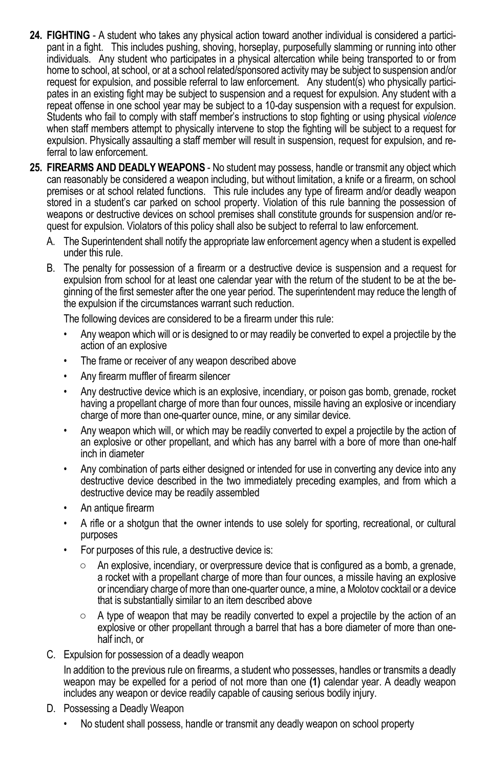- **24. FIGHTING** A student who takes any physical action toward another individual is considered a participant in a fight. This includes pushing, shoving, horseplay, purposefully slamming or running into other individuals. Any student who participates in a physical altercation while being transported to or from home to school, at school, or at a school related/sponsored activity may be subject to suspension and/or request for expulsion, and possible referral to law enforcement. Any student(s) who physically participates in an existing fight may be subject to suspension and a request for expulsion. Any student with a repeat offense in one school year may be subject to a 10-day suspension with a request for expulsion. Students who fail to comply with staff member's instructions to stop fighting or using physical *violence*  when staff members attempt to physically intervene to stop the fighting will be subject to a request for expulsion. Physically assaulting a staff member will result in suspension, request for expulsion, and referral to law enforcement.
- **25. FIREARMS AND DEADLY WEAPONS** No student may possess, handle or transmit any object which can reasonably be considered a weapon including, but without limitation, a knife or a firearm, on school premises or at school related functions. This rule includes any type of firearm and/or deadly weapon stored in a student's car parked on school property. Violation of this rule banning the possession of weapons or destructive devices on school premises shall constitute grounds for suspension and/or request for expulsion. Violators of this policy shall also be subject to referral to law enforcement.
	- A. The Superintendent shall notify the appropriate law enforcement agency when a student is expelled under this rule.
	- B. The penalty for possession of a firearm or a destructive device is suspension and a request for expulsion from school for at least one calendar year with the return of the student to be at the beginning of the first semester after the one year period. The superintendent may reduce the length of the expulsion if the circumstances warrant such reduction.

The following devices are considered to be a firearm under this rule:

- Any weapon which will or is designed to or may readily be converted to expel a projectile by the action of an explosive
- The frame or receiver of any weapon described above
- Any firearm muffler of firearm silencer
- Any destructive device which is an explosive, incendiary, or poison gas bomb, grenade, rocket having a propellant charge of more than four ounces, missile having an explosive or incendiary charge of more than one-quarter ounce, mine, or any similar device.
- Any weapon which will, or which may be readily converted to expel a projectile by the action of an explosive or other propellant, and which has any barrel with a bore of more than one-half inch in diameter
- Any combination of parts either designed or intended for use in converting any device into any destructive device described in the two immediately preceding examples, and from which a destructive device may be readily assembled
- An antique firearm
- A rifle or a shotgun that the owner intends to use solely for sporting, recreational, or cultural purposes
- For purposes of this rule, a destructive device is:
	- An explosive, incendiary, or overpressure device that is configured as a bomb, a grenade, a rocket with a propellant charge of more than four ounces, a missile having an explosive or incendiary charge of more than one-quarter ounce, a mine, a Molotov cocktail or a device that is substantially similar to an item described above
	- $\circ$  A type of weapon that may be readily converted to expel a projectile by the action of an explosive or other propellant through a barrel that has a bore diameter of more than onehalf inch, or
- C. Expulsion for possession of a deadly weapon

In addition to the previous rule on firearms, a student who possesses, handles or transmits a deadly weapon may be expelled for a period of not more than one **(1)** calendar year. A deadly weapon includes any weapon or device readily capable of causing serious bodily injury.

- D. Possessing a Deadly Weapon
	- No student shall possess, handle or transmit any deadly weapon on school property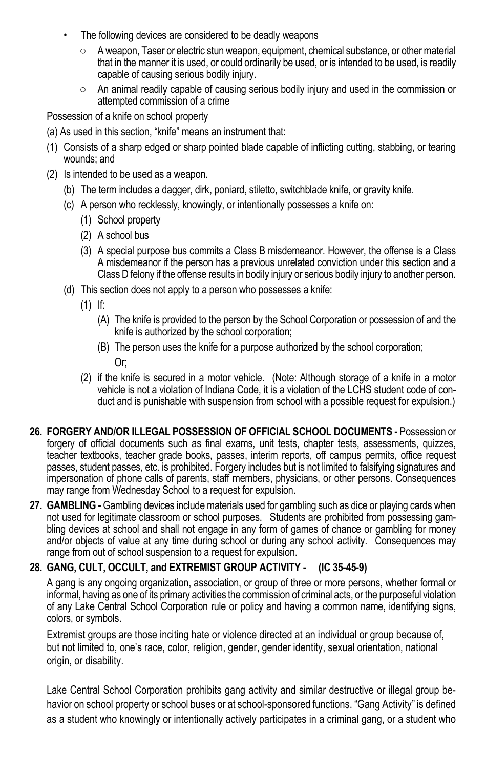- The following devices are considered to be deadly weapons
	- A weapon, Taser or electric stun weapon, equipment, chemical substance, or other material that in the manner it is used, or could ordinarily be used, or is intended to be used, is readily capable of causing serious bodily injury.
	- An animal readily capable of causing serious bodily injury and used in the commission or attempted commission of a crime

Possession of a knife on school property

- (a) As used in this section, "knife" means an instrument that:
- (1) Consists of a sharp edged or sharp pointed blade capable of inflicting cutting, stabbing, or tearing wounds; and
- (2) Is intended to be used as a weapon.
	- (b) The term includes a dagger, dirk, poniard, stiletto, switchblade knife, or gravity knife.
	- (c) A person who recklessly, knowingly, or intentionally possesses a knife on:
		- (1) School property
		- (2) A school bus
		- (3) A special purpose bus commits a Class B misdemeanor. However, the offense is a Class A misdemeanor if the person has a previous unrelated conviction under this section and a Class D felony if the offense results in bodily injury or serious bodily injury to another person.
	- (d) This section does not apply to a person who possesses a knife:
		- (1) If:
			- (A) The knife is provided to the person by the School Corporation or possession of and the knife is authorized by the school corporation;
			- (B) The person uses the knife for a purpose authorized by the school corporation;

Or;

- (2) if the knife is secured in a motor vehicle. (Note: Although storage of a knife in a motor vehicle is not a violation of Indiana Code, it is a violation of the LCHS student code of conduct and is punishable with suspension from school with a possible request for expulsion.)
- **26. FORGERY AND/OR ILLEGAL POSSESSION OF OFFICIAL SCHOOL DOCUMENTS -** Possession or forgery of official documents such as final exams, unit tests, chapter tests, assessments, quizzes, teacher textbooks, teacher grade books, passes, interim reports, off campus permits, office request passes, student passes, etc. is prohibited. Forgery includes but is not limited to falsifying signatures and impersonation of phone calls of parents, staff members, physicians, or other persons. Consequences may range from Wednesday School to a request for expulsion.
- **27. GAMBLING -** Gambling devices include materials used for gambling such as dice or playing cards when not used for legitimate classroom or school purposes. Students are prohibited from possessing gambling devices at school and shall not engage in any form of games of chance or gambling for money and/or objects of value at any time during school or during any school activity. Consequences may range from out of school suspension to a request for expulsion.

### **28. GANG, CULT, OCCULT, and EXTREMIST GROUP ACTIVITY - (IC 35-45-9)**

A gang is any ongoing organization, association, or group of three or more persons, whether formal or informal, having as one of its primary activities the commission of criminal acts, or the purposeful violation of any Lake Central School Corporation rule or policy and having a common name, identifying signs, colors, or symbols.

Extremist groups are those inciting hate or violence directed at an individual or group because of, but not limited to, one's race, color, religion, gender, gender identity, sexual orientation, national origin, or disability.

Lake Central School Corporation prohibits gang activity and similar destructive or illegal group behavior on school property or school buses or at school-sponsored functions. "Gang Activity" is defined as a student who knowingly or intentionally actively participates in a criminal gang, or a student who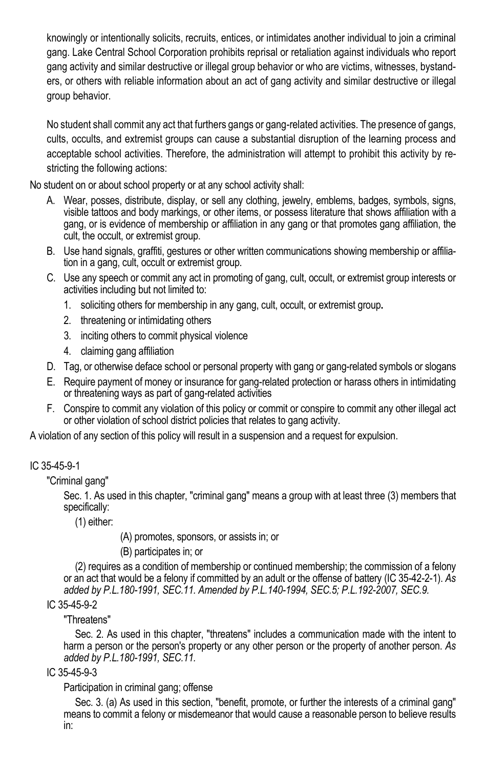knowingly or intentionally solicits, recruits, entices, or intimidates another individual to join a criminal gang. Lake Central School Corporation prohibits reprisal or retaliation against individuals who report gang activity and similar destructive or illegal group behavior or who are victims, witnesses, bystanders, or others with reliable information about an act of gang activity and similar destructive or illegal group behavior.

No student shall commit any act that furthers gangs or gang-related activities. The presence of gangs, cults, occults, and extremist groups can cause a substantial disruption of the learning process and acceptable school activities. Therefore, the administration will attempt to prohibit this activity by restricting the following actions:

No student on or about school property or at any school activity shall:

- A. Wear, posses, distribute, display, or sell any clothing, jewelry, emblems, badges, symbols, signs, visible tattoos and body markings, or other items, or possess literature that shows affiliation with a gang, or is evidence of membership or affiliation in any gang or that promotes gang affiliation, the cult, the occult, or extremist group.
- B. Use hand signals, graffiti, gestures or other written communications showing membership or affiliation in a gang, cult, occult or extremist group.
- C. Use any speech or commit any act in promoting of gang, cult, occult, or extremist group interests or activities including but not limited to:
	- 1. soliciting others for membership in any gang, cult, occult, or extremist group**.**
	- 2. threatening or intimidating others
	- 3. inciting others to commit physical violence
	- 4. claiming gang affiliation
- D. Tag, or otherwise deface school or personal property with gang or gang-related symbols or slogans
- E. Require payment of money or insurance for gang-related protection or harass others in intimidating or threatening ways as part of gang-related activities
- F. Conspire to commit any violation of this policy or commit or conspire to commit any other illegal act or other violation of school district policies that relates to gang activity.

A violation of any section of this policy will result in a suspension and a request for expulsion.

### IC 35-45-9-1

"Criminal gang"

Sec. 1. As used in this chapter, "criminal gang" means a group with at least three (3) members that specifically:

(1) either:

(A) promotes, sponsors, or assists in; or

(B) participates in; or

(2) requires as a condition of membership or continued membership; the commission of a felony or an act that would be a felony if committed by an adult or the offense of battery (IC 35-42-2-1). *As added by P.L.180-1991, SEC.11. Amended by P.L.140-1994, SEC.5; P.L.192-2007, SEC.9.* 

#### IC 35-45-9-2

#### "Threatens"

Sec. 2. As used in this chapter, "threatens" includes a communication made with the intent to harm a person or the person's property or any other person or the property of another person. *As added by P.L.180-1991, SEC.11.* 

#### IC 35-45-9-3

#### Participation in criminal gang; offense

Sec. 3. (a) As used in this section, "benefit, promote, or further the interests of a criminal gang" means to commit a felony or misdemeanor that would cause a reasonable person to believe results in: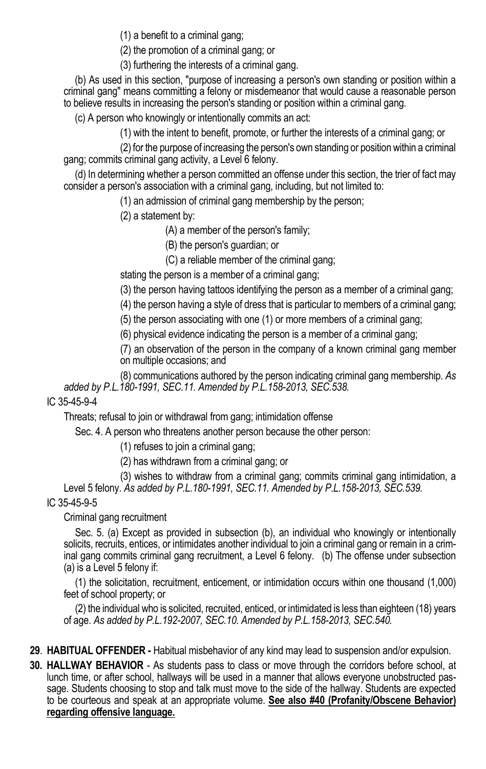(1) a benefit to a criminal gang;

(2) the promotion of a criminal gang; or

(3) furthering the interests of a criminal gang.

 (b) As used in this section, "purpose of increasing a person's own standing or position within a criminal gang" means committing a felony or misdemeanor that would cause a reasonable person to believe results in increasing the person's standing or position within a criminal gang.

(c) A person who knowingly or intentionally commits an act:

(1) with the intent to benefit, promote, or further the interests of a criminal gang; or

 (2) for the purpose of increasing the person's own standing or position within a criminal gang; commits criminal gang activity, a Level 6 felony.

 (d) In determining whether a person committed an offense under this section, the trier of fact may consider a person's association with a criminal gang, including, but not limited to:

(1) an admission of criminal gang membership by the person;

(2) a statement by:

(A) a member of the person's family;

(B) the person's guardian; or

(C) a reliable member of the criminal gang;

stating the person is a member of a criminal gang;

(3) the person having tattoos identifying the person as a member of a criminal gang;

(4) the person having a style of dress that is particular to members of a criminal gang;

(5) the person associating with one (1) or more members of a criminal gang;

(6) physical evidence indicating the person is a member of a criminal gang;

(7) an observation of the person in the company of a known criminal gang member on multiple occasions; and

 (8) communications authored by the person indicating criminal gang membership. *As added by P.L.180-1991, SEC.11. Amended by P.L.158-2013, SEC.538.* 

#### IC 35-45-9-4

Threats; refusal to join or withdrawal from gang; intimidation offense

Sec. 4. A person who threatens another person because the other person:

(1) refuses to join a criminal gang;

(2) has withdrawn from a criminal gang; or

(3) wishes to withdraw from a criminal gang; commits criminal gang intimidation, a

Level 5 felony. *As added by P.L.180-1991, SEC.11. Amended by P.L.158-2013, SEC.539.*

### IC 35-45-9-5

Criminal gang recruitment

 Sec. 5. (a) Except as provided in subsection (b), an individual who knowingly or intentionally solicits, recruits, entices, or intimidates another individual to join a criminal gang or remain in a criminal gang commits criminal gang recruitment, a Level 6 felony. (b) The offense under subsection (a) is a Level 5 felony if:

 (1) the solicitation, recruitment, enticement, or intimidation occurs within one thousand (1,000) feet of school property; or

 (2) the individual who is solicited, recruited, enticed, or intimidated is less than eighteen (18) years of age. *As added by P.L.192-2007, SEC.10. Amended by P.L.158-2013, SEC.540.* 

- **29**. **HABITUAL OFFENDER** Habitual misbehavior of any kind may lead to suspension and/or expulsion.
- **30. HALLWAY BEHAVIOR** As students pass to class or move through the corridors before school, at lunch time, or after school, hallways will be used in a manner that allows everyone unobstructed passage. Students choosing to stop and talk must move to the side of the hallway. Students are expected to be courteous and speak at an appropriate volume. **See also #40 (Profanity/Obscene Behavior) regarding offensive language.**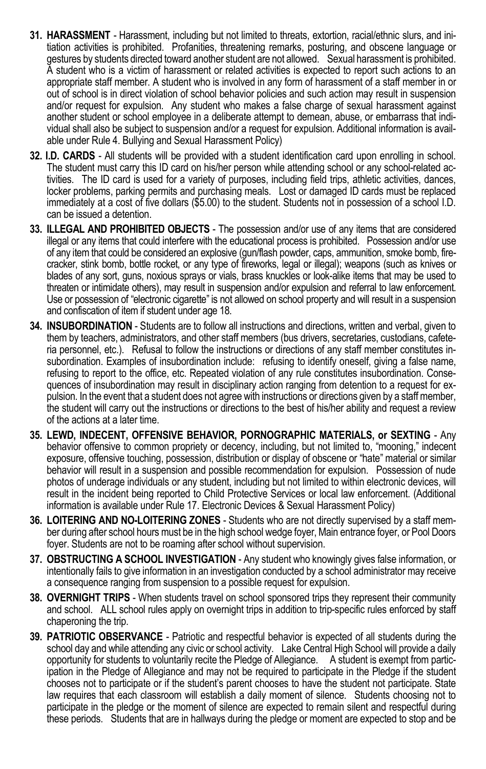- **31. HARASSMENT** Harassment, including but not limited to threats, extortion, racial/ethnic slurs, and initiation activities is prohibited. Profanities, threatening remarks, posturing, and obscene language or gestures by students directed toward another student are not allowed. Sexual harassment is prohibited. A student who is a victim of harassment or related activities is expected to report such actions to an appropriate staff member. A student who is involved in any form of harassment of a staff member in or out of school is in direct violation of school behavior policies and such action may result in suspension and/or request for expulsion. Any student who makes a false charge of sexual harassment against another student or school employee in a deliberate attempt to demean, abuse, or embarrass that individual shall also be subject to suspension and/or a request for expulsion. Additional information is available under Rule 4. Bullying and Sexual Harassment Policy)
- **32. I.D. CARDS** All students will be provided with a student identification card upon enrolling in school. The student must carry this ID card on his/her person while attending school or any school-related activities. The ID card is used for a variety of purposes, including field trips, athletic activities, dances, locker problems, parking permits and purchasing meals. Lost or damaged ID cards must be replaced immediately at a cost of five dollars (\$5.00) to the student. Students not in possession of a school I.D. can be issued a detention.
- **33. ILLEGAL AND PROHIBITED OBJECTS** The possession and/or use of any items that are considered illegal or any items that could interfere with the educational process is prohibited. Possession and/or use of any item that could be considered an explosive (gun/flash powder, caps, ammunition, smoke bomb, firecracker, stink bomb, bottle rocket, or any type of fireworks, legal or illegal); weapons (such as knives or blades of any sort, guns, noxious sprays or vials, brass knuckles or look-alike items that may be used to threaten or intimidate others), may result in suspension and/or expulsion and referral to law enforcement. Use or possession of "electronic cigarette" is not allowed on school property and will result in a suspension and confiscation of item if student under age 18.
- **34. INSUBORDINATION** Students are to follow all instructions and directions, written and verbal, given to them by teachers, administrators, and other staff members (bus drivers, secretaries, custodians, cafeteria personnel, etc.). Refusal to follow the instructions or directions of any staff member constitutes insubordination. Examples of insubordination include: refusing to identify oneself, giving a false name, refusing to report to the office, etc. Repeated violation of any rule constitutes insubordination. Consequences of insubordination may result in disciplinary action ranging from detention to a request for expulsion. In the event that a student does not agree with instructions or directions given by a staff member, the student will carry out the instructions or directions to the best of his/her ability and request a review of the actions at a later time.
- **35. LEWD, INDECENT, OFFENSIVE BEHAVIOR, PORNOGRAPHIC MATERIALS, or SEXTING** Any behavior offensive to common propriety or decency, including, but not limited to, "mooning," indecent exposure, offensive touching, possession, distribution or display of obscene or "hate" material or similar behavior will result in a suspension and possible recommendation for expulsion. Possession of nude photos of underage individuals or any student, including but not limited to within electronic devices, will result in the incident being reported to Child Protective Services or local law enforcement. (Additional information is available under Rule 17. Electronic Devices & Sexual Harassment Policy)
- **36. LOITERING AND NO-LOITERING ZONES** Students who are not directly supervised by a staff member during after school hours must be in the high school wedge foyer, Main entrance foyer, or Pool Doors foyer. Students are not to be roaming after school without supervision.
- **37. OBSTRUCTING A SCHOOL INVESTIGATION** Any student who knowingly gives false information, or intentionally fails to give information in an investigation conducted by a school administrator may receive a consequence ranging from suspension to a possible request for expulsion.
- **38. OVERNIGHT TRIPS** When students travel on school sponsored trips they represent their community and school. ALL school rules apply on overnight trips in addition to trip-specific rules enforced by staff chaperoning the trip.
- **39. PATRIOTIC OBSERVANCE** Patriotic and respectful behavior is expected of all students during the school day and while attending any civic or school activity. Lake Central High School will provide a daily opportunity for students to voluntarily recite the Pledge of Allegiance. A student is exempt from participation in the Pledge of Allegiance and may not be required to participate in the Pledge if the student chooses not to participate or if the student's parent chooses to have the student not participate. State law requires that each classroom will establish a daily moment of silence. Students choosing not to participate in the pledge or the moment of silence are expected to remain silent and respectful during these periods. Students that are in hallways during the pledge or moment are expected to stop and be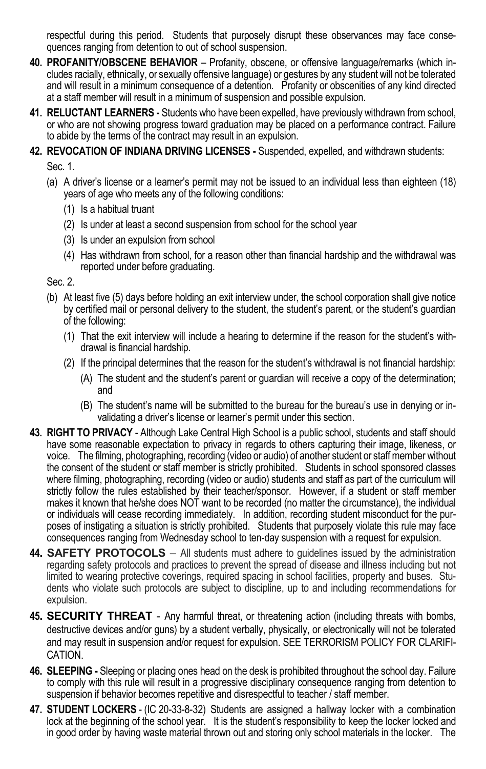respectful during this period. Students that purposely disrupt these observances may face consequences ranging from detention to out of school suspension.

- **40. PROFANITY/OBSCENE BEHAVIOR**  Profanity, obscene, or offensive language/remarks (which includes racially, ethnically, or sexually offensive language) or gestures by any student will not be tolerated and will result in a minimum consequence of a detention. Profanity or obscenities of any kind directed at a staff member will result in a minimum of suspension and possible expulsion.
- **41. RELUCTANT LEARNERS -** Students who have been expelled, have previously withdrawn from school, or who are not showing progress toward graduation may be placed on a performance contract. Failure to abide by the terms of the contract may result in an expulsion.
- **42. REVOCATION OF INDIANA DRIVING LICENSES -** Suspended, expelled, and withdrawn students:

Sec. 1.

- (a) A driver's license or a learner's permit may not be issued to an individual less than eighteen (18) years of age who meets any of the following conditions:
	- (1) Is a habitual truant
	- (2) Is under at least a second suspension from school for the school year
	- (3) Is under an expulsion from school
	- (4) Has withdrawn from school, for a reason other than financial hardship and the withdrawal was reported under before graduating.

Sec. 2.

- (b) At least five (5) days before holding an exit interview under, the school corporation shall give notice by certified mail or personal delivery to the student, the student's parent, or the student's guardian of the following:
	- (1) That the exit interview will include a hearing to determine if the reason for the student's withdrawal is financial hardship.
	- (2) If the principal determines that the reason for the student's withdrawal is not financial hardship:
		- (A) The student and the student's parent or guardian will receive a copy of the determination; and
		- (B) The student's name will be submitted to the bureau for the bureau's use in denying or invalidating a driver's license or learner's permit under this section.
- **43. RIGHT TO PRIVACY** Although Lake Central High School is a public school, students and staff should have some reasonable expectation to privacy in regards to others capturing their image, likeness, or voice. The filming, photographing, recording (video or audio) of another student or staff member without the consent of the student or staff member is strictly prohibited. Students in school sponsored classes where filming, photographing, recording (video or audio) students and staff as part of the curriculum will strictly follow the rules established by their teacher/sponsor. However, if a student or staff member makes it known that he/she does NOT want to be recorded (no matter the circumstance), the individual or individuals will cease recording immediately. In addition, recording student misconduct for the purposes of instigating a situation is strictly prohibited. Students that purposely violate this rule may face consequences ranging from Wednesday school to ten-day suspension with a request for expulsion.
- **44. SAFETY PROTOCOLS** All students must adhere to guidelines issued by the administration regarding safety protocols and practices to prevent the spread of disease and illness including but not limited to wearing protective coverings, required spacing in school facilities, property and buses. Students who violate such protocols are subject to discipline, up to and including recommendations for expulsion.
- **45. SECURITY THREAT** Any harmful threat, or threatening action (including threats with bombs, destructive devices and/or guns) by a student verbally, physically, or electronically will not be tolerated and may result in suspension and/or request for expulsion. SEE TERRORISM POLICY FOR CLARIFI-CATION.
- **46. SLEEPING -** Sleeping or placing ones head on the desk is prohibited throughout the school day. Failure to comply with this rule will result in a progressive disciplinary consequence ranging from detention to suspension if behavior becomes repetitive and disrespectful to teacher / staff member.
- **47. STUDENT LOCKERS** (IC 20-33-8-32) Students are assigned a hallway locker with a combination lock at the beginning of the school year. It is the student's responsibility to keep the locker locked and in good order by having waste material thrown out and storing only school materials in the locker. The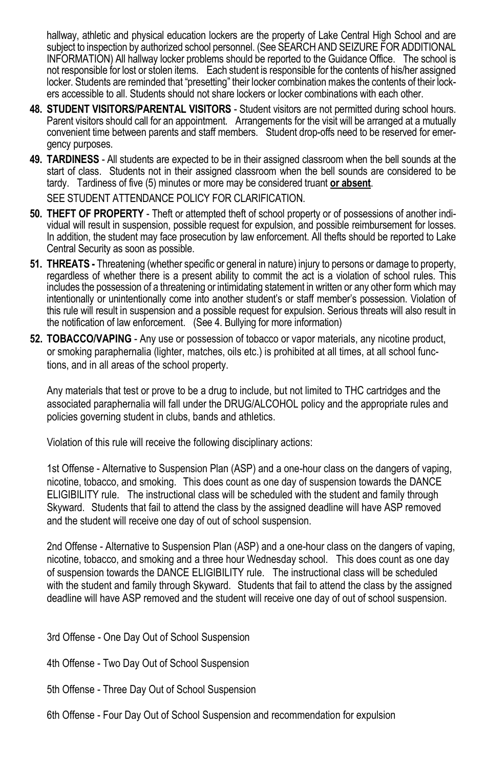hallway, athletic and physical education lockers are the property of Lake Central High School and are subject to inspection by authorized school personnel. (See SEARCH AND SEIZURE FOR ADDITIONAL INFORMATION) All hallway locker problems should be reported to the Guidance Office. The school is not responsible for lost or stolen items. Each student is responsible for the contents of his/her assigned locker. Students are reminded that "presetting" their locker combination makes the contents of their lockers accessible to all. Students should not share lockers or locker combinations with each other.

- **48. STUDENT VISITORS/PARENTAL VISITORS** Student visitors are not permitted during school hours. Parent visitors should call for an appointment. Arrangements for the visit will be arranged at a mutually convenient time between parents and staff members. Student drop-offs need to be reserved for emergency purposes.
- **49. TARDINESS** All students are expected to be in their assigned classroom when the bell sounds at the start of class. Students not in their assigned classroom when the bell sounds are considered to be tardy. Tardiness of five (5) minutes or more may be considered truant **or absent**.

SEE STUDENT ATTENDANCE POLICY FOR CLARIFICATION.

- **50. THEFT OF PROPERTY** Theft or attempted theft of school property or of possessions of another individual will result in suspension, possible request for expulsion, and possible reimbursement for losses. In addition, the student may face prosecution by law enforcement. All thefts should be reported to Lake Central Security as soon as possible.
- **51. THREATS -** Threatening (whether specific or general in nature) injury to persons or damage to property, regardless of whether there is a present ability to commit the act is a violation of school rules. This includes the possession of a threatening or intimidating statement in written or any other form which may intentionally or unintentionally come into another student's or staff member's possession. Violation of this rule will result in suspension and a possible request for expulsion. Serious threats will also result in the notification of law enforcement. (See 4. Bullying for more information)
- **52. TOBACCO/VAPING** Any use or possession of tobacco or vapor materials, any nicotine product, or smoking paraphernalia (lighter, matches, oils etc.) is prohibited at all times, at all school functions, and in all areas of the school property.

Any materials that test or prove to be a drug to include, but not limited to THC cartridges and the associated paraphernalia will fall under the DRUG/ALCOHOL policy and the appropriate rules and policies governing student in clubs, bands and athletics.

Violation of this rule will receive the following disciplinary actions:

1st Offense - Alternative to Suspension Plan (ASP) and a one-hour class on the dangers of vaping, nicotine, tobacco, and smoking. This does count as one day of suspension towards the DANCE ELIGIBILITY rule. The instructional class will be scheduled with the student and family through Skyward. Students that fail to attend the class by the assigned deadline will have ASP removed and the student will receive one day of out of school suspension.

2nd Offense - Alternative to Suspension Plan (ASP) and a one-hour class on the dangers of vaping, nicotine, tobacco, and smoking and a three hour Wednesday school. This does count as one day of suspension towards the DANCE ELIGIBILITY rule. The instructional class will be scheduled with the student and family through Skyward. Students that fail to attend the class by the assigned deadline will have ASP removed and the student will receive one day of out of school suspension.

- 3rd Offense One Day Out of School Suspension
- 4th Offense Two Day Out of School Suspension
- 5th Offense Three Day Out of School Suspension
- 6th Offense Four Day Out of School Suspension and recommendation for expulsion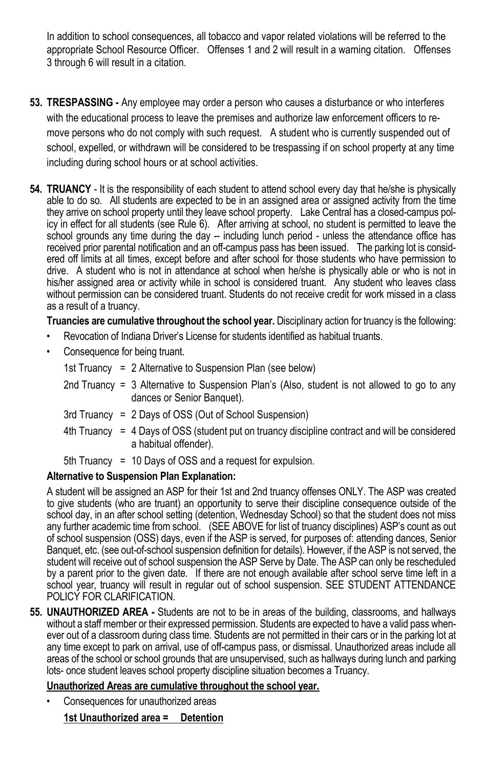In addition to school consequences, all tobacco and vapor related violations will be referred to the appropriate School Resource Officer. Offenses 1 and 2 will result in a warning citation. Offenses 3 through 6 will result in a citation.

- **53. TRESPASSING** Any employee may order a person who causes a disturbance or who interferes with the educational process to leave the premises and authorize law enforcement officers to remove persons who do not comply with such request. A student who is currently suspended out of school, expelled, or withdrawn will be considered to be trespassing if on school property at any time including during school hours or at school activities.
- **54. TRUANCY** It is the responsibility of each student to attend school every day that he/she is physically able to do so. All students are expected to be in an assigned area or assigned activity from the time they arrive on school property until they leave school property. Lake Central has a closed-campus policy in effect for all students (see Rule 6). After arriving at school, no student is permitted to leave the school grounds any time during the day -- including lunch period - unless the attendance office has received prior parental notification and an off-campus pass has been issued. The parking lot is considered off limits at all times, except before and after school for those students who have permission to drive. A student who is not in attendance at school when he/she is physically able or who is not in his/her assigned area or activity while in school is considered truant. Any student who leaves class without permission can be considered truant. Students do not receive credit for work missed in a class as a result of a truancy.

**Truancies are cumulative throughout the school year.** Disciplinary action for truancy is the following:

- Revocation of Indiana Driver's License for students identified as habitual truants.
- Consequence for being truant.

1st Truancy = 2 Alternative to Suspension Plan (see below)

- 2nd Truancy = 3 Alternative to Suspension Plan's (Also, student is not allowed to go to any dances or Senior Banquet).
- 3rd Truancy = 2 Days of OSS (Out of School Suspension)
- 4th Truancy = 4 Days of OSS (student put on truancy discipline contract and will be considered a habitual offender).
- 5th Truancy = 10 Days of OSS and a request for expulsion.

#### **Alternative to Suspension Plan Explanation:**

A student will be assigned an ASP for their 1st and 2nd truancy offenses ONLY. The ASP was created to give students (who are truant) an opportunity to serve their discipline consequence outside of the school day, in an after school setting (detention, Wednesday School) so that the student does not miss any further academic time from school. (SEE ABOVE for list of truancy disciplines) ASP's count as out of school suspension (OSS) days, even if the ASP is served, for purposes of: attending dances, Senior Banquet, etc. (see out-of-school suspension definition for details). However, if the ASP is not served, the student will receive out of school suspension the ASP Serve by Date. The ASP can only be rescheduled by a parent prior to the given date. If there are not enough available after school serve time left in a school year, truancy will result in regular out of school suspension. SEE STUDENT ATTENDANCE POLICY FOR CLARIFICATION.

**55. UNAUTHORIZED AREA -** Students are not to be in areas of the building, classrooms, and hallways without a staff member or their expressed permission. Students are expected to have a valid pass whenever out of a classroom during class time. Students are not permitted in their cars or in the parking lot at any time except to park on arrival, use of off-campus pass, or dismissal. Unauthorized areas include all areas of the school or school grounds that are unsupervised, such as hallways during lunch and parking lots- once student leaves school property discipline situation becomes a Truancy.

#### **Unauthorized Areas are cumulative throughout the school year.**

• Consequences for unauthorized areas

**1st Unauthorized area = Detention**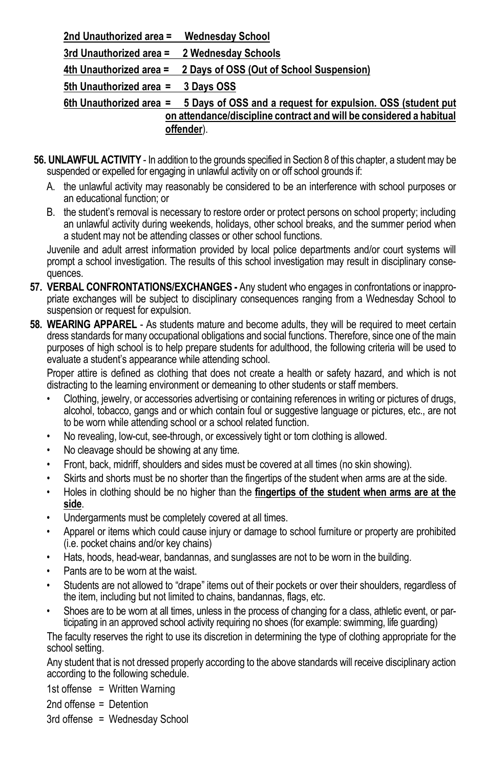**2nd Unauthorized area = Wednesday School 3rd Unauthorized area = 2 Wednesday Schools 4th Unauthorized area = 2 Days of OSS (Out of School Suspension) 5th Unauthorized area = 3 Days OSS 6th Unauthorized area = 5 Days of OSS and a request for expulsion. OSS (student put on attendance/discipline contract and will be considered a habitual offender**).

- **56. UNLAWFUL ACTIVITY**  In addition to the grounds specified in Section 8 of this chapter, a student may be suspended or expelled for engaging in unlawful activity on or off school grounds if:
	- A. the unlawful activity may reasonably be considered to be an interference with school purposes or an educational function; or
	- B. the student's removal is necessary to restore order or protect persons on school property; including an unlawful activity during weekends, holidays, other school breaks, and the summer period when a student may not be attending classes or other school functions.

Juvenile and adult arrest information provided by local police departments and/or court systems will prompt a school investigation. The results of this school investigation may result in disciplinary consequences.

- **57. VERBAL CONFRONTATIONS/EXCHANGES** Any student who engages in confrontations or inappropriate exchanges will be subject to disciplinary consequences ranging from a Wednesday School to suspension or request for expulsion.
- **58. WEARING APPAREL** As students mature and become adults, they will be required to meet certain dress standards for many occupational obligations and social functions. Therefore, since one of the main purposes of high school is to help prepare students for adulthood, the following criteria will be used to evaluate a student's appearance while attending school.

Proper attire is defined as clothing that does not create a health or safety hazard, and which is not distracting to the learning environment or demeaning to other students or staff members.

- Clothing, jewelry, or accessories advertising or containing references in writing or pictures of drugs, alcohol, tobacco, gangs and or which contain foul or suggestive language or pictures, etc., are not to be worn while attending school or a school related function.
- No revealing, low-cut, see-through, or excessively tight or torn clothing is allowed.
- No cleavage should be showing at any time.
- Front, back, midriff, shoulders and sides must be covered at all times (no skin showing).
- Skirts and shorts must be no shorter than the fingertips of the student when arms are at the side.
- Holes in clothing should be no higher than the **fingertips of the student when arms are at the side**.
- Undergarments must be completely covered at all times.
- Apparel or items which could cause injury or damage to school furniture or property are prohibited (i.e. pocket chains and/or key chains)
- Hats, hoods, head-wear, bandannas, and sunglasses are not to be worn in the building.
- Pants are to be worn at the waist.
- Students are not allowed to "drape" items out of their pockets or over their shoulders, regardless of the item, including but not limited to chains, bandannas, flags, etc.
- Shoes are to be worn at all times, unless in the process of changing for a class, athletic event, or participating in an approved school activity requiring no shoes (for example: swimming, life guarding)

The faculty reserves the right to use its discretion in determining the type of clothing appropriate for the school setting.

Any student that is not dressed properly according to the above standards will receive disciplinary action according to the following schedule.

1st offense = Written Warning

- 2nd offense = Detention
- 3rd offense = Wednesday School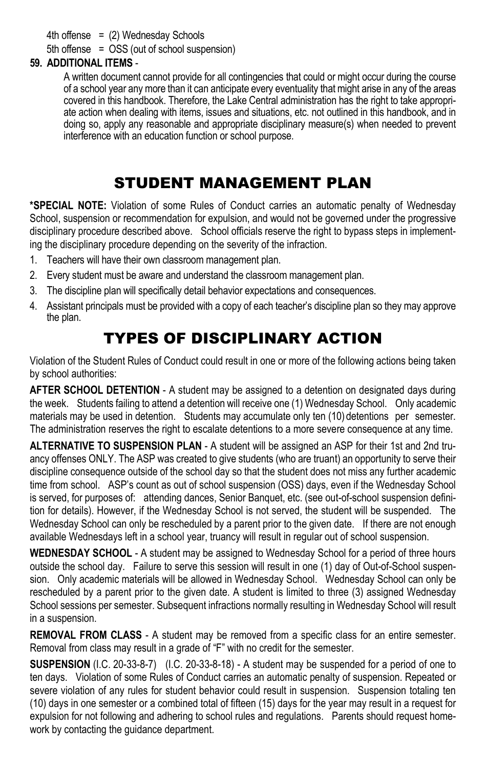### 4th offense  $=$  (2) Wednesday Schools

5th offense = OSS (out of school suspension)

### **59. ADDITIONAL ITEMS** -

A written document cannot provide for all contingencies that could or might occur during the course of a school year any more than it can anticipate every eventuality that might arise in any of the areas covered in this handbook. Therefore, the Lake Central administration has the right to take appropriate action when dealing with items, issues and situations, etc. not outlined in this handbook, and in doing so, apply any reasonable and appropriate disciplinary measure(s) when needed to prevent interference with an education function or school purpose.

## STUDENT MANAGEMENT PLAN

**\*SPECIAL NOTE:** Violation of some Rules of Conduct carries an automatic penalty of Wednesday School, suspension or recommendation for expulsion, and would not be governed under the progressive disciplinary procedure described above. School officials reserve the right to bypass steps in implementing the disciplinary procedure depending on the severity of the infraction.

- 1. Teachers will have their own classroom management plan.
- 2. Every student must be aware and understand the classroom management plan.
- 3. The discipline plan will specifically detail behavior expectations and consequences.
- 4. Assistant principals must be provided with a copy of each teacher's discipline plan so they may approve the plan.

## TYPES OF DISCIPLINARY ACTION

Violation of the Student Rules of Conduct could result in one or more of the following actions being taken by school authorities:

**AFTER SCHOOL DETENTION** - A student may be assigned to a detention on designated days during the week. Students failing to attend a detention will receive one (1) Wednesday School. Only academic materials may be used in detention. Students may accumulate only ten (10) detentions per semester. The administration reserves the right to escalate detentions to a more severe consequence at any time.

**ALTERNATIVE TO SUSPENSION PLAN** - A student will be assigned an ASP for their 1st and 2nd truancy offenses ONLY. The ASP was created to give students (who are truant) an opportunity to serve their discipline consequence outside of the school day so that the student does not miss any further academic time from school. ASP's count as out of school suspension (OSS) days, even if the Wednesday School is served, for purposes of: attending dances, Senior Banquet, etc. (see out-of-school suspension definition for details). However, if the Wednesday School is not served, the student will be suspended. The Wednesday School can only be rescheduled by a parent prior to the given date. If there are not enough available Wednesdays left in a school year, truancy will result in regular out of school suspension.

**WEDNESDAY SCHOOL** - A student may be assigned to Wednesday School for a period of three hours outside the school day. Failure to serve this session will result in one (1) day of Out-of-School suspension. Only academic materials will be allowed in Wednesday School. Wednesday School can only be rescheduled by a parent prior to the given date. A student is limited to three (3) assigned Wednesday School sessions per semester. Subsequent infractions normally resulting in Wednesday School will result in a suspension.

**REMOVAL FROM CLASS** - A student may be removed from a specific class for an entire semester. Removal from class may result in a grade of "F" with no credit for the semester.

**SUSPENSION** (I.C. 20-33-8-7) (I.C. 20-33-8-18) - A student may be suspended for a period of one to ten days. Violation of some Rules of Conduct carries an automatic penalty of suspension. Repeated or severe violation of any rules for student behavior could result in suspension. Suspension totaling ten (10) days in one semester or a combined total of fifteen (15) days for the year may result in a request for expulsion for not following and adhering to school rules and regulations. Parents should request homework by contacting the guidance department.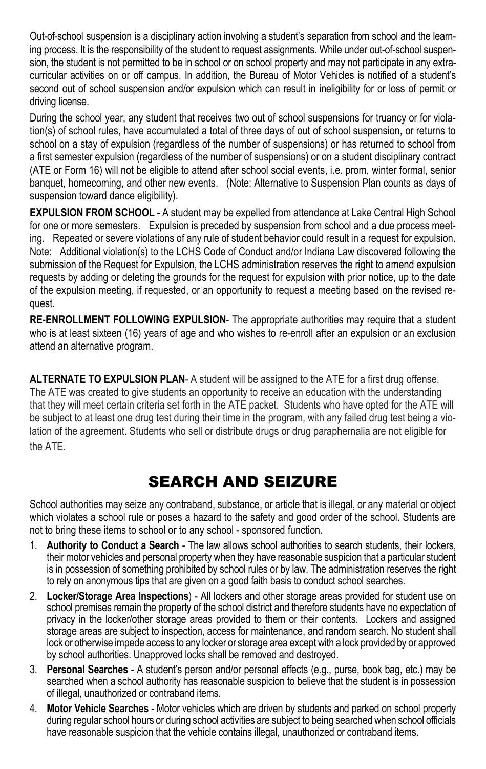Out-of-school suspension is a disciplinary action involving a student's separation from school and the learning process. It is the responsibility of the student to request assignments. While under out-of-school suspension, the student is not permitted to be in school or on school property and may not participate in any extracurricular activities on or off campus. In addition, the Bureau of Motor Vehicles is notified of a student's second out of school suspension and/or expulsion which can result in ineligibility for or loss of permit or driving license.

During the school year, any student that receives two out of school suspensions for truancy or for violation(s) of school rules, have accumulated a total of three days of out of school suspension, or returns to school on a stay of expulsion (regardless of the number of suspensions) or has returned to school from a first semester expulsion (regardless of the number of suspensions) or on a student disciplinary contract (ATE or Form 16) will not be eligible to attend after school social events, i.e. prom, winter formal, senior banquet, homecoming, and other new events. (Note: Alternative to Suspension Plan counts as days of suspension toward dance eligibility).

**EXPULSION FROM SCHOOL** - A student may be expelled from attendance at Lake Central High School for one or more semesters. Expulsion is preceded by suspension from school and a due process meeting. Repeated or severe violations of any rule of student behavior could result in a request for expulsion. Note: Additional violation(s) to the LCHS Code of Conduct and/or Indiana Law discovered following the submission of the Request for Expulsion, the LCHS administration reserves the right to amend expulsion requests by adding or deleting the grounds for the request for expulsion with prior notice, up to the date of the expulsion meeting, if requested, or an opportunity to request a meeting based on the revised request.

**RE-ENROLLMENT FOLLOWING EXPULSION**- The appropriate authorities may require that a student who is at least sixteen (16) years of age and who wishes to re-enroll after an expulsion or an exclusion attend an alternative program.

**ALTERNATE TO EXPULSION PLAN**- A student will be assigned to the ATE for a first drug offense. The ATE was created to give students an opportunity to receive an education with the understanding that they will meet certain criteria set forth in the ATE packet. Students who have opted for the ATE will be subject to at least one drug test during their time in the program, with any failed drug test being a violation of the agreement. Students who sell or distribute drugs or drug paraphernalia are not eligible for the ATE.

## SEARCH AND SEIZURE

School authorities may seize any contraband, substance, or article that is illegal, or any material or object which violates a school rule or poses a hazard to the safety and good order of the school. Students are not to bring these items to school or to any school - sponsored function.

- 1. **Authority to Conduct a Search** The law allows school authorities to search students, their lockers, their motor vehicles and personal property when they have reasonable suspicion that a particular student is in possession of something prohibited by school rules or by law. The administration reserves the right to rely on anonymous tips that are given on a good faith basis to conduct school searches.
- 2. **Locker/Storage Area Inspections**) All lockers and other storage areas provided for student use on school premises remain the property of the school district and therefore students have no expectation of privacy in the locker/other storage areas provided to them or their contents. Lockers and assigned storage areas are subject to inspection, access for maintenance, and random search. No student shall lock or otherwise impede access to any locker or storage area except with a lock provided by or approved by school authorities. Unapproved locks shall be removed and destroyed.
- 3. **Personal Searches** A student's person and/or personal effects (e.g., purse, book bag, etc.) may be searched when a school authority has reasonable suspicion to believe that the student is in possession of illegal, unauthorized or contraband items.
- 4. **Motor Vehicle Searches** Motor vehicles which are driven by students and parked on school property during regular school hours or during school activities are subject to being searched when school officials have reasonable suspicion that the vehicle contains illegal, unauthorized or contraband items.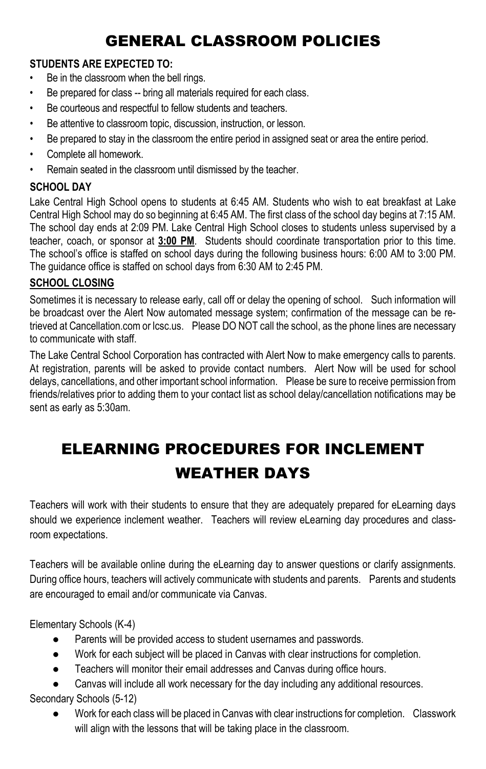## GENERAL CLASSROOM POLICIES

### **STUDENTS ARE EXPECTED TO:**

- Be in the classroom when the bell rings.
- Be prepared for class -- bring all materials required for each class.
- Be courteous and respectful to fellow students and teachers.
- Be attentive to classroom topic, discussion, instruction, or lesson.
- Be prepared to stay in the classroom the entire period in assigned seat or area the entire period.
- Complete all homework.
- Remain seated in the classroom until dismissed by the teacher.

### **SCHOOL DAY**

Lake Central High School opens to students at 6:45 AM. Students who wish to eat breakfast at Lake Central High School may do so beginning at 6:45 AM. The first class of the school day begins at 7:15 AM. The school day ends at 2:09 PM. Lake Central High School closes to students unless supervised by a teacher, coach, or sponsor at **3:00 PM**. Students should coordinate transportation prior to this time. The school's office is staffed on school days during the following business hours: 6:00 AM to 3:00 PM. The guidance office is staffed on school days from 6:30 AM to 2:45 PM.

### **SCHOOL CLOSING**

Sometimes it is necessary to release early, call off or delay the opening of school. Such information will be broadcast over the Alert Now automated message system; confirmation of the message can be retrieved at Cancellation.com or lcsc.us. Please DO NOT call the school, as the phone lines are necessary to communicate with staff.

The Lake Central School Corporation has contracted with Alert Now to make emergency calls to parents. At registration, parents will be asked to provide contact numbers. Alert Now will be used for school delays, cancellations, and other important school information. Please be sure to receive permission from friends/relatives prior to adding them to your contact list as school delay/cancellation notifications may be sent as early as 5:30am.

# ELEARNING PROCEDURES FOR INCLEMENT WEATHER DAYS

Teachers will work with their students to ensure that they are adequately prepared for eLearning days should we experience inclement weather. Teachers will review eLearning day procedures and classroom expectations.

Teachers will be available online during the eLearning day to answer questions or clarify assignments. During office hours, teachers will actively communicate with students and parents. Parents and students are encouraged to email and/or communicate via Canvas.

Elementary Schools (K-4)

- Parents will be provided access to student usernames and passwords.
- Work for each subject will be placed in Canvas with clear instructions for completion.
- Teachers will monitor their email addresses and Canvas during office hours.

Canvas will include all work necessary for the day including any additional resources. Secondary Schools (5-12)

● Work for each class will be placed in Canvas with clear instructions for completion. Classwork will align with the lessons that will be taking place in the classroom.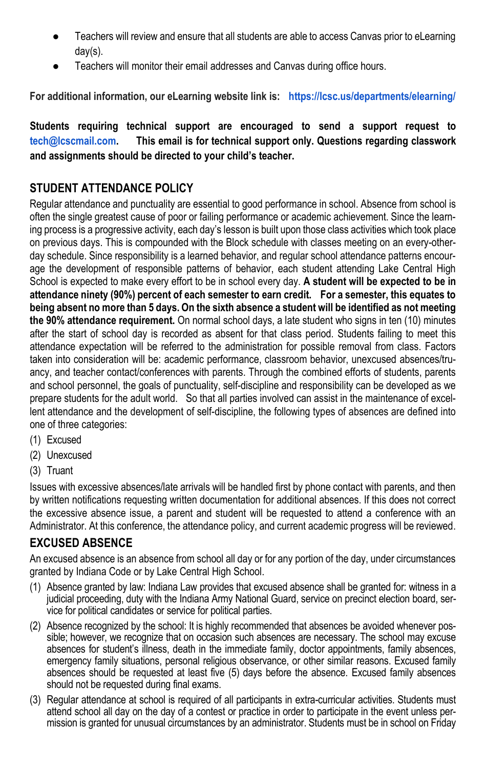- Teachers will review and ensure that all students are able to access Canvas prior to eLearning day(s).
- Teachers will monitor their email addresses and Canvas during office hours.

**For additional information, our eLearning website link is: <https://lcsc.us/departments/elearning/>**

**Students requiring technical support are encouraged to send a support request to [tech@lcscmail.com.](mailto:tech@lcscmail.com) This email is for technical support only. Questions regarding classwork and assignments should be directed to your child's teacher.**

## **STUDENT ATTENDANCE POLICY**

Regular attendance and punctuality are essential to good performance in school. Absence from school is often the single greatest cause of poor or failing performance or academic achievement. Since the learning process is a progressive activity, each day's lesson is built upon those class activities which took place on previous days. This is compounded with the Block schedule with classes meeting on an every-otherday schedule. Since responsibility is a learned behavior, and regular school attendance patterns encourage the development of responsible patterns of behavior, each student attending Lake Central High School is expected to make every effort to be in school every day. **A student will be expected to be in attendance ninety (90%) percent of each semester to earn credit. For a semester, this equates to being absent no more than 5 days. On the sixth absence a student will be identified as not meeting the 90% attendance requirement.** On normal school days, a late student who signs in ten (10) minutes after the start of school day is recorded as absent for that class period. Students failing to meet this attendance expectation will be referred to the administration for possible removal from class. Factors taken into consideration will be: academic performance, classroom behavior, unexcused absences/truancy, and teacher contact/conferences with parents. Through the combined efforts of students, parents and school personnel, the goals of punctuality, self-discipline and responsibility can be developed as we prepare students for the adult world. So that all parties involved can assist in the maintenance of excellent attendance and the development of self-discipline, the following types of absences are defined into one of three categories:

- (1) Excused
- (2) Unexcused
- (3) Truant

Issues with excessive absences/late arrivals will be handled first by phone contact with parents, and then by written notifications requesting written documentation for additional absences. If this does not correct the excessive absence issue, a parent and student will be requested to attend a conference with an Administrator. At this conference, the attendance policy, and current academic progress will be reviewed.

### **EXCUSED ABSENCE**

An excused absence is an absence from school all day or for any portion of the day, under circumstances granted by Indiana Code or by Lake Central High School.

- (1) Absence granted by law: Indiana Law provides that excused absence shall be granted for: witness in a judicial proceeding, duty with the Indiana Army National Guard, service on precinct election board, service for political candidates or service for political parties.
- (2) Absence recognized by the school: It is highly recommended that absences be avoided whenever possible; however, we recognize that on occasion such absences are necessary. The school may excuse absences for student's illness, death in the immediate family, doctor appointments, family absences, emergency family situations, personal religious observance, or other similar reasons. Excused family absences should be requested at least five (5) days before the absence. Excused family absences should not be requested during final exams.
- (3) Regular attendance at school is required of all participants in extra-curricular activities. Students must attend school all day on the day of a contest or practice in order to participate in the event unless permission is granted for unusual circumstances by an administrator. Students must be in school on Friday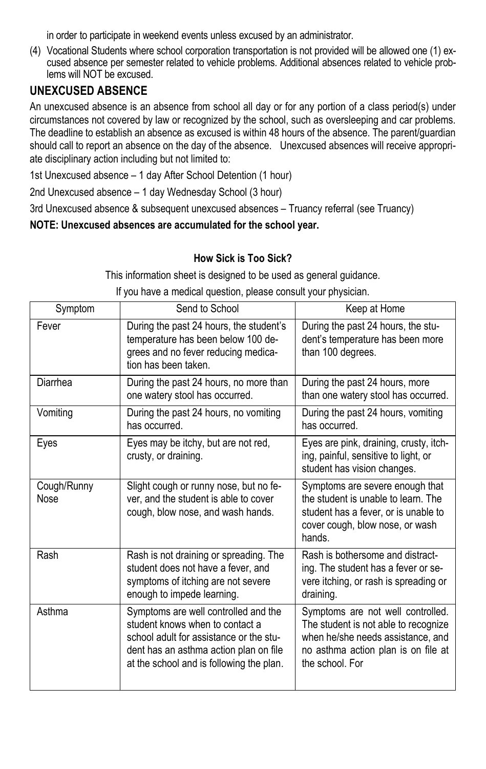in order to participate in weekend events unless excused by an administrator.

(4) Vocational Students where school corporation transportation is not provided will be allowed one (1) excused absence per semester related to vehicle problems. Additional absences related to vehicle problems will NOT be excused.

### **UNEXCUSED ABSENCE**

An unexcused absence is an absence from school all day or for any portion of a class period(s) under circumstances not covered by law or recognized by the school, such as oversleeping and car problems. The deadline to establish an absence as excused is within 48 hours of the absence. The parent/guardian should call to report an absence on the day of the absence. Unexcused absences will receive appropriate disciplinary action including but not limited to:

1st Unexcused absence – 1 day After School Detention (1 hour)

2nd Unexcused absence – 1 day Wednesday School (3 hour)

3rd Unexcused absence & subsequent unexcused absences – Truancy referral (see Truancy)

### **NOTE: Unexcused absences are accumulated for the school year.**

### **How Sick is Too Sick?**

This information sheet is designed to be used as general guidance.

If you have a medical question, please consult your physician.

| Symptom             | Send to School                                                                                                                                                                                           | Keep at Home                                                                                                                                                             |  |
|---------------------|----------------------------------------------------------------------------------------------------------------------------------------------------------------------------------------------------------|--------------------------------------------------------------------------------------------------------------------------------------------------------------------------|--|
| Fever               | During the past 24 hours, the student's<br>temperature has been below 100 de-<br>grees and no fever reducing medica-<br>tion has been taken.                                                             | During the past 24 hours, the stu-<br>dent's temperature has been more<br>than 100 degrees.                                                                              |  |
| Diarrhea            | During the past 24 hours, no more than<br>one watery stool has occurred.                                                                                                                                 | During the past 24 hours, more<br>than one watery stool has occurred.                                                                                                    |  |
| Vomiting            | During the past 24 hours, no vomiting<br>has occurred.                                                                                                                                                   | During the past 24 hours, vomiting<br>has occurred.                                                                                                                      |  |
| Eyes                | Eyes may be itchy, but are not red,<br>crusty, or draining.                                                                                                                                              | Eyes are pink, draining, crusty, itch-<br>ing, painful, sensitive to light, or<br>student has vision changes.                                                            |  |
| Cough/Runny<br>Nose | Slight cough or runny nose, but no fe-<br>ver, and the student is able to cover<br>cough, blow nose, and wash hands.                                                                                     | Symptoms are severe enough that<br>the student is unable to learn. The<br>student has a fever, or is unable to<br>cover cough, blow nose, or wash<br>hands.              |  |
| Rash                | Rash is not draining or spreading. The<br>student does not have a fever, and<br>symptoms of itching are not severe<br>enough to impede learning.                                                         | Rash is bothersome and distract-<br>ing. The student has a fever or se-<br>vere itching, or rash is spreading or<br>draining.                                            |  |
| Asthma              | Symptoms are well controlled and the<br>student knows when to contact a<br>school adult for assistance or the stu-<br>dent has an asthma action plan on file<br>at the school and is following the plan. | Symptoms are not well controlled.<br>The student is not able to recognize<br>when he/she needs assistance, and<br>no asthma action plan is on file at<br>the school. For |  |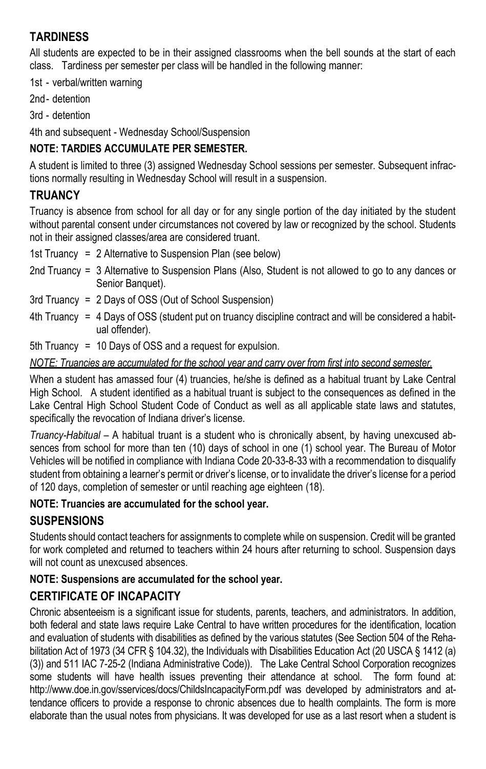## **TARDINESS**

All students are expected to be in their assigned classrooms when the bell sounds at the start of each class. Tardiness per semester per class will be handled in the following manner:

1st - verbal/written warning

2nd- detention

3rd - detention

4th and subsequent - Wednesday School/Suspension

### **NOTE: TARDIES ACCUMULATE PER SEMESTER.**

A student is limited to three (3) assigned Wednesday School sessions per semester. Subsequent infractions normally resulting in Wednesday School will result in a suspension.

### **TRUANCY**

Truancy is absence from school for all day or for any single portion of the day initiated by the student without parental consent under circumstances not covered by law or recognized by the school. Students not in their assigned classes/area are considered truant.

1st Truancy = 2 Alternative to Suspension Plan (see below)

- 2nd Truancy = 3 Alternative to Suspension Plans (Also, Student is not allowed to go to any dances or Senior Banquet).
- 3rd Truancy = 2 Days of OSS (Out of School Suspension)
- 4th Truancy = 4 Days of OSS (student put on truancy discipline contract and will be considered a habitual offender).

5th Truancy = 10 Days of OSS and a request for expulsion.

### *NOTE: Truancies are accumulated for the school year and carry over from first into second semester.*

When a student has amassed four (4) truancies, he/she is defined as a habitual truant by Lake Central High School. A student identified as a habitual truant is subject to the consequences as defined in the Lake Central High School Student Code of Conduct as well as all applicable state laws and statutes, specifically the revocation of Indiana driver's license.

*Truancy-Habitual* – A habitual truant is a student who is chronically absent, by having unexcused absences from school for more than ten (10) days of school in one (1) school year. The Bureau of Motor Vehicles will be notified in compliance with Indiana Code 20-33-8-33 with a recommendation to disqualify student from obtaining a learner's permit or driver's license, or to invalidate the driver's license for a period of 120 days, completion of semester or until reaching age eighteen (18).

### **NOTE: Truancies are accumulated for the school year.**

## **SUSPENSIONS**

Students should contact teachers for assignments to complete while on suspension. Credit will be granted for work completed and returned to teachers within 24 hours after returning to school. Suspension days will not count as unexcused absences.

### **NOTE: Suspensions are accumulated for the school year.**

## **CERTIFICATE OF INCAPACITY**

Chronic absenteeism is a significant issue for students, parents, teachers, and administrators. In addition, both federal and state laws require Lake Central to have written procedures for the identification, location and evaluation of students with disabilities as defined by the various statutes (See Section 504 of the Rehabilitation Act of 1973 (34 CFR § 104.32), the Individuals with Disabilities Education Act (20 USCA § 1412 (a) (3)) and 511 IAC 7-25-2 (Indiana Administrative Code)). The Lake Central School Corporation recognizes some students will have health issues preventing their attendance at school. The form found at: http://www.doe.in.gov/sservices/docs/ChildsIncapacityForm.pdf was developed by administrators and attendance officers to provide a response to chronic absences due to health complaints. The form is more elaborate than the usual notes from physicians. It was developed for use as a last resort when a student is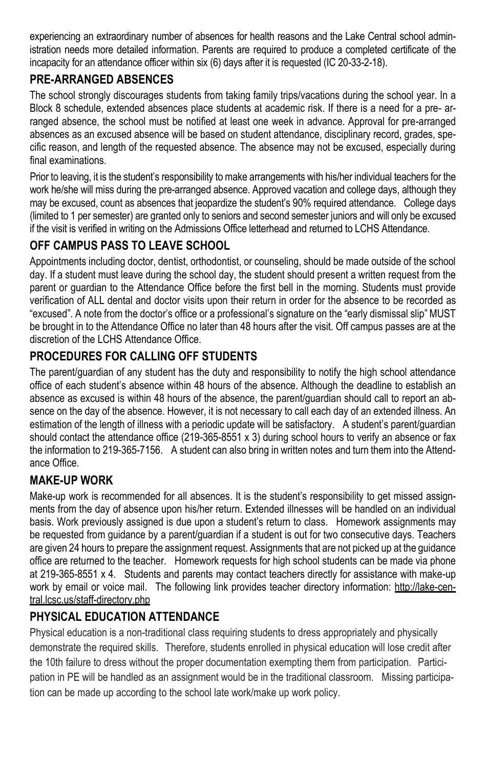experiencing an extraordinary number of absences for health reasons and the Lake Central school administration needs more detailed information. Parents are required to produce a completed certificate of the incapacity for an attendance officer within six (6) days after it is requested (IC 20-33-2-18).

## **PRE-ARRANGED ABSENCES**

The school strongly discourages students from taking family trips/vacations during the school year. In a Block 8 schedule, extended absences place students at academic risk. If there is a need for a pre- arranged absence, the school must be notified at least one week in advance. Approval for pre-arranged absences as an excused absence will be based on student attendance, disciplinary record, grades, specific reason, and length of the requested absence. The absence may not be excused, especially during final examinations.

Prior to leaving, it is the student's responsibility to make arrangements with his/her individual teachers for the work he/she will miss during the pre-arranged absence. Approved vacation and college days, although they may be excused, count as absences that jeopardize the student's 90% required attendance. College days (limited to 1 per semester) are granted only to seniors and second semester juniors and will only be excused if the visit is verified in writing on the Admissions Office letterhead and returned to LCHS Attendance.

## **OFF CAMPUS PASS TO LEAVE SCHOOL**

Appointments including doctor, dentist, orthodontist, or counseling, should be made outside of the school day. If a student must leave during the school day, the student should present a written request from the parent or guardian to the Attendance Office before the first bell in the morning. Students must provide verification of ALL dental and doctor visits upon their return in order for the absence to be recorded as "excused". A note from the doctor's office or a professional's signature on the "early dismissal slip" MUST be brought in to the Attendance Office no later than 48 hours after the visit. Off campus passes are at the discretion of the LCHS Attendance Office.

## **PROCEDURES FOR CALLING OFF STUDENTS**

The parent/guardian of any student has the duty and responsibility to notify the high school attendance office of each student's absence within 48 hours of the absence. Although the deadline to establish an absence as excused is within 48 hours of the absence, the parent/guardian should call to report an absence on the day of the absence. However, it is not necessary to call each day of an extended illness. An estimation of the length of illness with a periodic update will be satisfactory. A student's parent/guardian should contact the attendance office (219-365-8551 x 3) during school hours to verify an absence or fax the information to 219-365-7156. A student can also bring in written notes and turn them into the Attendance Office.

### **MAKE-UP WORK**

Make-up work is recommended for all absences. It is the student's responsibility to get missed assignments from the day of absence upon his/her return. Extended illnesses will be handled on an individual basis. Work previously assigned is due upon a student's return to class. Homework assignments may be requested from guidance by a parent/guardian if a student is out for two consecutive days. Teachers are given 24 hours to prepare the assignment request. Assignments that are not picked up at the guidance office are returned to the teacher. Homework requests for high school students can be made via phone at 219-365-8551 x 4. Students and parents may contact teachers directly for assistance with make-up work by email or voice mail. The following link provides teacher directory information: http://lake-central.lcsc.us/staff-directory.php

### **PHYSICAL EDUCATION ATTENDANCE**

Physical education is a non-traditional class requiring students to dress appropriately and physically demonstrate the required skills. Therefore, students enrolled in physical education will lose credit after the 10th failure to dress without the proper documentation exempting them from participation. Participation in PE will be handled as an assignment would be in the traditional classroom. Missing participation can be made up according to the school late work/make up work policy.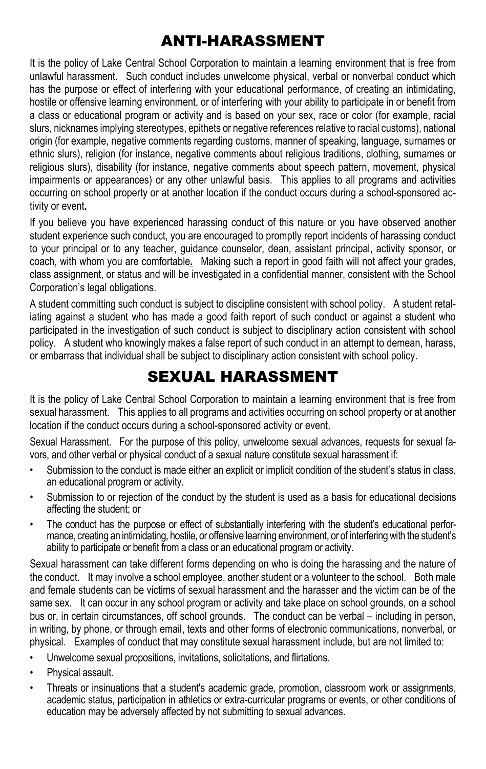## ANTI-HARASSMENT

It is the policy of Lake Central School Corporation to maintain a learning environment that is free from unlawful harassment. Such conduct includes unwelcome physical, verbal or nonverbal conduct which has the purpose or effect of interfering with your educational performance, of creating an intimidating, hostile or offensive learning environment, or of interfering with your ability to participate in or benefit from a class or educational program or activity and is based on your sex, race or color (for example, racial slurs, nicknames implying stereotypes, epithets or negative references relative to racial customs), national origin (for example, negative comments regarding customs, manner of speaking, language, surnames or ethnic slurs), religion (for instance, negative comments about religious traditions, clothing, surnames or religious slurs), disability (for instance, negative comments about speech pattern, movement, physical impairments or appearances) or any other unlawful basis. This applies to all programs and activities occurring on school property or at another location if the conduct occurs during a school-sponsored activity or event**.** 

If you believe you have experienced harassing conduct of this nature or you have observed another student experience such conduct, you are encouraged to promptly report incidents of harassing conduct to your principal or to any teacher, guidance counselor, dean, assistant principal, activity sponsor, or coach, with whom you are comfortable**.** Making such a report in good faith will not affect your grades, class assignment, or status and will be investigated in a confidential manner, consistent with the School Corporation's legal obligations.

A student committing such conduct is subject to discipline consistent with school policy. A student retaliating against a student who has made a good faith report of such conduct or against a student who participated in the investigation of such conduct is subject to disciplinary action consistent with school policy. A student who knowingly makes a false report of such conduct in an attempt to demean, harass, or embarrass that individual shall be subject to disciplinary action consistent with school policy.

## SEXUAL HARASSMENT

It is the policy of Lake Central School Corporation to maintain a learning environment that is free from sexual harassment. This applies to all programs and activities occurring on school property or at another location if the conduct occurs during a school-sponsored activity or event.

Sexual Harassment. For the purpose of this policy, unwelcome sexual advances, requests for sexual favors, and other verbal or physical conduct of a sexual nature constitute sexual harassment if:

- Submission to the conduct is made either an explicit or implicit condition of the student's status in class, an educational program or activity.
- Submission to or rejection of the conduct by the student is used as a basis for educational decisions affecting the student; or
- The conduct has the purpose or effect of substantially interfering with the student's educational performance, creating an intimidating, hostile, or offensive learning environment, or of interfering with the student's ability to participate or benefit from a class or an educational program or activity.

Sexual harassment can take different forms depending on who is doing the harassing and the nature of the conduct. It may involve a school employee, another student or a volunteer to the school. Both male and female students can be victims of sexual harassment and the harasser and the victim can be of the same sex. It can occur in any school program or activity and take place on school grounds, on a school bus or, in certain circumstances, off school grounds. The conduct can be verbal – including in person, in writing, by phone, or through email, texts and other forms of electronic communications, nonverbal, or physical. Examples of conduct that may constitute sexual harassment include, but are not limited to:

- Unwelcome sexual propositions, invitations, solicitations, and flirtations.
- Physical assault.
- Threats or insinuations that a student's academic grade, promotion, classroom work or assignments, academic status, participation in athletics or extra-curricular programs or events, or other conditions of education may be adversely affected by not submitting to sexual advances.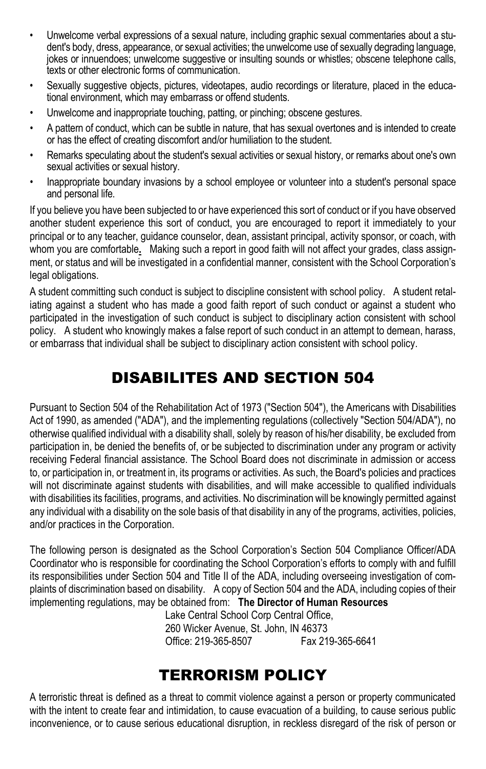- Unwelcome verbal expressions of a sexual nature, including graphic sexual commentaries about a student's body, dress, appearance, or sexual activities; the unwelcome use of sexually degrading language, jokes or innuendoes; unwelcome suggestive or insulting sounds or whistles; obscene telephone calls, texts or other electronic forms of communication.
- Sexually suggestive objects, pictures, videotapes, audio recordings or literature, placed in the educational environment, which may embarrass or offend students.
- Unwelcome and inappropriate touching, patting, or pinching; obscene gestures.
- A pattern of conduct, which can be subtle in nature, that has sexual overtones and is intended to create or has the effect of creating discomfort and/or humiliation to the student.
- Remarks speculating about the student's sexual activities or sexual history, or remarks about one's own sexual activities or sexual history.
- Inappropriate boundary invasions by a school employee or volunteer into a student's personal space and personal life.

If you believe you have been subjected to or have experienced this sort of conduct or if you have observed another student experience this sort of conduct, you are encouraged to report it immediately to your principal or to any teacher, guidance counselor, dean, assistant principal, activity sponsor, or coach, with whom you are comfortable**.** Making such a report in good faith will not affect your grades, class assignment, or status and will be investigated in a confidential manner, consistent with the School Corporation's legal obligations.

A student committing such conduct is subject to discipline consistent with school policy. A student retaliating against a student who has made a good faith report of such conduct or against a student who participated in the investigation of such conduct is subject to disciplinary action consistent with school policy. A student who knowingly makes a false report of such conduct in an attempt to demean, harass, or embarrass that individual shall be subject to disciplinary action consistent with school policy.

## DISABILITES AND SECTION 504

Pursuant to Section 504 of the Rehabilitation Act of 1973 ("Section 504"), the Americans with Disabilities Act of 1990, as amended ("ADA"), and the implementing regulations (collectively "Section 504/ADA"), no otherwise qualified individual with a disability shall, solely by reason of his/her disability, be excluded from participation in, be denied the benefits of, or be subjected to discrimination under any program or activity receiving Federal financial assistance. The School Board does not discriminate in admission or access to, or participation in, or treatment in, its programs or activities. As such, the Board's policies and practices will not discriminate against students with disabilities, and will make accessible to qualified individuals with disabilities its facilities, programs, and activities. No discrimination will be knowingly permitted against any individual with a disability on the sole basis of that disability in any of the programs, activities, policies, and/or practices in the Corporation.

The following person is designated as the School Corporation's Section 504 Compliance Officer/ADA Coordinator who is responsible for coordinating the School Corporation's efforts to comply with and fulfill its responsibilities under Section 504 and Title II of the ADA, including overseeing investigation of complaints of discrimination based on disability. A copy of Section 504 and the ADA, including copies of their implementing regulations, may be obtained from: **The Director of Human Resources**

> Lake Central School Corp Central Office, 260 Wicker Avenue, St. John, IN 46373 Office: 219-365-8507

## TERRORISM POLICY

A terroristic threat is defined as a threat to commit violence against a person or property communicated with the intent to create fear and intimidation, to cause evacuation of a building, to cause serious public inconvenience, or to cause serious educational disruption, in reckless disregard of the risk of person or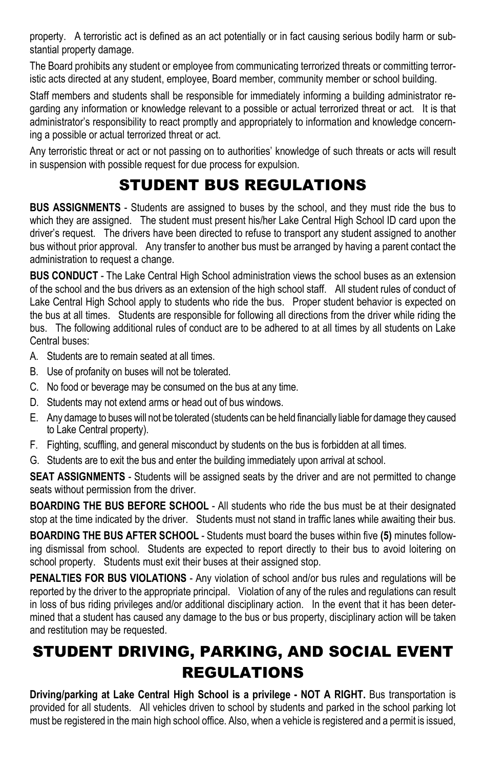property. A terroristic act is defined as an act potentially or in fact causing serious bodily harm or substantial property damage.

The Board prohibits any student or employee from communicating terrorized threats or committing terroristic acts directed at any student, employee, Board member, community member or school building.

Staff members and students shall be responsible for immediately informing a building administrator regarding any information or knowledge relevant to a possible or actual terrorized threat or act. It is that administrator's responsibility to react promptly and appropriately to information and knowledge concerning a possible or actual terrorized threat or act.

Any terroristic threat or act or not passing on to authorities' knowledge of such threats or acts will result in suspension with possible request for due process for expulsion.

## STUDENT BUS REGULATIONS

**BUS ASSIGNMENTS** - Students are assigned to buses by the school, and they must ride the bus to which they are assigned. The student must present his/her Lake Central High School ID card upon the driver's request. The drivers have been directed to refuse to transport any student assigned to another bus without prior approval. Any transfer to another bus must be arranged by having a parent contact the administration to request a change.

**BUS CONDUCT** - The Lake Central High School administration views the school buses as an extension of the school and the bus drivers as an extension of the high school staff. All student rules of conduct of Lake Central High School apply to students who ride the bus. Proper student behavior is expected on the bus at all times. Students are responsible for following all directions from the driver while riding the bus. The following additional rules of conduct are to be adhered to at all times by all students on Lake Central buses:

- A. Students are to remain seated at all times.
- B. Use of profanity on buses will not be tolerated.
- C. No food or beverage may be consumed on the bus at any time.
- D. Students may not extend arms or head out of bus windows.
- E. Any damage to buses will not be tolerated (students can be held financially liable for damage they caused to Lake Central property).
- F. Fighting, scuffling, and general misconduct by students on the bus is forbidden at all times.
- G. Students are to exit the bus and enter the building immediately upon arrival at school.

**SEAT ASSIGNMENTS** - Students will be assigned seats by the driver and are not permitted to change seats without permission from the driver.

**BOARDING THE BUS BEFORE SCHOOL** - All students who ride the bus must be at their designated stop at the time indicated by the driver. Students must not stand in traffic lanes while awaiting their bus.

**BOARDING THE BUS AFTER SCHOOL** - Students must board the buses within five **(5)** minutes following dismissal from school. Students are expected to report directly to their bus to avoid loitering on school property. Students must exit their buses at their assigned stop.

**PENALTIES FOR BUS VIOLATIONS** - Any violation of school and/or bus rules and regulations will be reported by the driver to the appropriate principal. Violation of any of the rules and regulations can result in loss of bus riding privileges and/or additional disciplinary action. In the event that it has been determined that a student has caused any damage to the bus or bus property, disciplinary action will be taken and restitution may be requested.

# STUDENT DRIVING, PARKING, AND SOCIAL EVENT REGULATIONS

**Driving/parking at Lake Central High School is a privilege - NOT A RIGHT.** Bus transportation is provided for all students. All vehicles driven to school by students and parked in the school parking lot must be registered in the main high school office. Also, when a vehicle is registered and a permit is issued,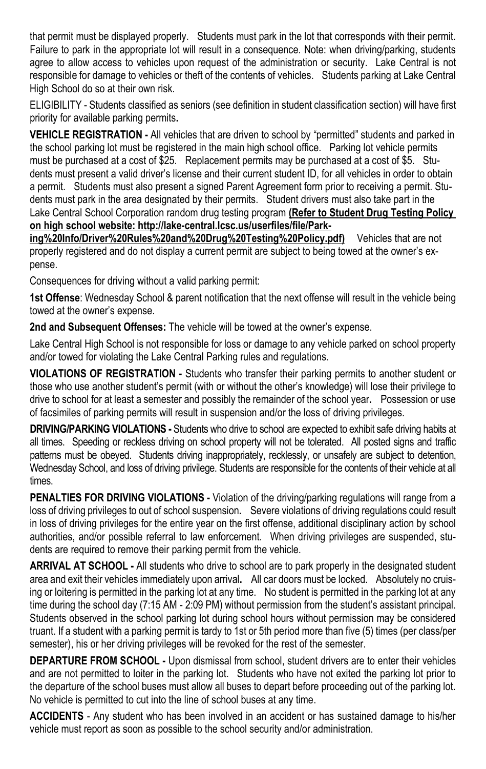that permit must be displayed properly. Students must park in the lot that corresponds with their permit. Failure to park in the appropriate lot will result in a consequence. Note: when driving/parking, students agree to allow access to vehicles upon request of the administration or security. Lake Central is not responsible for damage to vehicles or theft of the contents of vehicles. Students parking at Lake Central High School do so at their own risk.

ELIGIBILITY - Students classified as seniors (see definition in student classification section) will have first priority for available parking permits**.** 

**VEHICLE REGISTRATION -** All vehicles that are driven to school by "permitted" students and parked in the school parking lot must be registered in the main high school office. Parking lot vehicle permits must be purchased at a cost of \$25. Replacement permits may be purchased at a cost of \$5. Students must present a valid driver's license and their current student ID, for all vehicles in order to obtain a permit. Students must also present a signed Parent Agreement form prior to receiving a permit. Students must park in the area designated by their permits. Student drivers must also take part in the Lake Central School Corporation random drug testing program **(Refer to Student Drug Testing Policy on high school website: http://lake-central.lcsc.us/userfiles/file/Park-**

**ing%20Info/Driver%20Rules%20and%20Drug%20Testing%20Policy.pdf)** Vehicles that are not properly registered and do not display a current permit are subject to being towed at the owner's expense.

Consequences for driving without a valid parking permit:

**1st Offense**: Wednesday School & parent notification that the next offense will result in the vehicle being towed at the owner's expense.

**2nd and Subsequent Offenses:** The vehicle will be towed at the owner's expense.

Lake Central High School is not responsible for loss or damage to any vehicle parked on school property and/or towed for violating the Lake Central Parking rules and regulations.

**VIOLATIONS OF REGISTRATION -** Students who transfer their parking permits to another student or those who use another student's permit (with or without the other's knowledge) will lose their privilege to drive to school for at least a semester and possibly the remainder of the school year**.** Possession or use of facsimiles of parking permits will result in suspension and/or the loss of driving privileges.

**DRIVING/PARKING VIOLATIONS -** Students who drive to school are expected to exhibit safe driving habits at all times. Speeding or reckless driving on school property will not be tolerated. All posted signs and traffic patterns must be obeyed. Students driving inappropriately, recklessly, or unsafely are subject to detention, Wednesday School, and loss of driving privilege. Students are responsible for the contents of their vehicle at all times.

**PENALTIES FOR DRIVING VIOLATIONS -** Violation of the driving/parking regulations will range from a loss of driving privileges to out of school suspension**.** Severe violations of driving regulations could result in loss of driving privileges for the entire year on the first offense, additional disciplinary action by school authorities, and/or possible referral to law enforcement. When driving privileges are suspended, students are required to remove their parking permit from the vehicle.

**ARRIVAL AT SCHOOL -** All students who drive to school are to park properly in the designated student area and exit their vehicles immediately upon arrival**.** All car doors must be locked. Absolutely no cruising or loitering is permitted in the parking lot at any time. No student is permitted in the parking lot at any time during the school day (7:15 AM - 2:09 PM) without permission from the student's assistant principal. Students observed in the school parking lot during school hours without permission may be considered truant. If a student with a parking permit is tardy to 1st or 5th period more than five (5) times (per class/per semester), his or her driving privileges will be revoked for the rest of the semester.

**DEPARTURE FROM SCHOOL -** Upon dismissal from school, student drivers are to enter their vehicles and are not permitted to loiter in the parking lot. Students who have not exited the parking lot prior to the departure of the school buses must allow all buses to depart before proceeding out of the parking lot. No vehicle is permitted to cut into the line of school buses at any time.

**ACCIDENTS** - Any student who has been involved in an accident or has sustained damage to his/her vehicle must report as soon as possible to the school security and/or administration.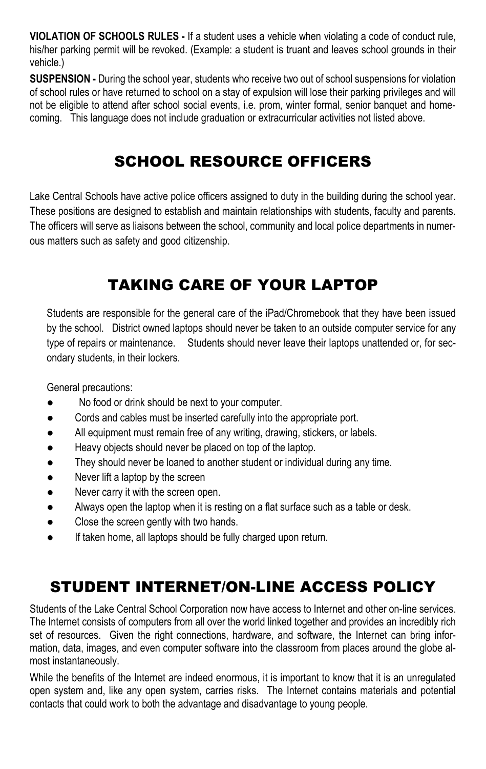**VIOLATION OF SCHOOLS RULES -** If a student uses a vehicle when violating a code of conduct rule, his/her parking permit will be revoked. (Example: a student is truant and leaves school grounds in their vehicle.)

**SUSPENSION -** During the school year, students who receive two out of school suspensions for violation of school rules or have returned to school on a stay of expulsion will lose their parking privileges and will not be eligible to attend after school social events, i.e. prom, winter formal, senior banquet and homecoming. This language does not include graduation or extracurricular activities not listed above.

## SCHOOL RESOURCE OFFICERS

Lake Central Schools have active police officers assigned to duty in the building during the school year. These positions are designed to establish and maintain relationships with students, faculty and parents. The officers will serve as liaisons between the school, community and local police departments in numerous matters such as safety and good citizenship.

## TAKING CARE OF YOUR LAPTOP

Students are responsible for the general care of the iPad/Chromebook that they have been issued by the school. District owned laptops should never be taken to an outside computer service for any type of repairs or maintenance. Students should never leave their laptops unattended or, for secondary students, in their lockers.

General precautions:

- No food or drink should be next to your computer.
- Cords and cables must be inserted carefully into the appropriate port.
- All equipment must remain free of any writing, drawing, stickers, or labels.
- Heavy objects should never be placed on top of the laptop.
- They should never be loaned to another student or individual during any time.
- Never lift a laptop by the screen
- Never carry it with the screen open.
- Always open the laptop when it is resting on a flat surface such as a table or desk.
- Close the screen gently with two hands.
- If taken home, all laptops should be fully charged upon return.

## STUDENT INTERNET/ON-LINE ACCESS POLICY

Students of the Lake Central School Corporation now have access to Internet and other on-line services. The Internet consists of computers from all over the world linked together and provides an incredibly rich set of resources. Given the right connections, hardware, and software, the Internet can bring information, data, images, and even computer software into the classroom from places around the globe almost instantaneously.

While the benefits of the Internet are indeed enormous, it is important to know that it is an unregulated open system and, like any open system, carries risks. The Internet contains materials and potential contacts that could work to both the advantage and disadvantage to young people.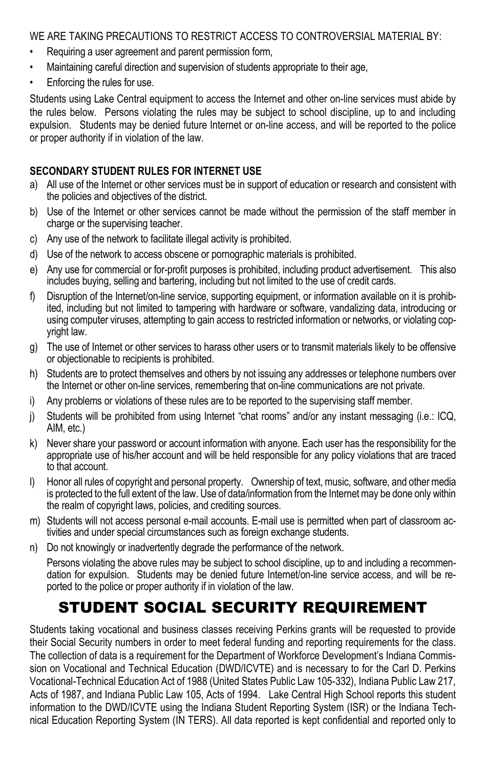WE ARE TAKING PRECAUTIONS TO RESTRICT ACCESS TO CONTROVERSIAL MATERIAL BY:

- Requiring a user agreement and parent permission form,
- Maintaining careful direction and supervision of students appropriate to their age,
- Enforcing the rules for use.

Students using Lake Central equipment to access the Internet and other on-line services must abide by the rules below. Persons violating the rules may be subject to school discipline, up to and including expulsion. Students may be denied future Internet or on-line access, and will be reported to the police or proper authority if in violation of the law.

### **SECONDARY STUDENT RULES FOR INTERNET USE**

- a) All use of the Internet or other services must be in support of education or research and consistent with the policies and objectives of the district.
- b) Use of the Internet or other services cannot be made without the permission of the staff member in charge or the supervising teacher.
- c) Any use of the network to facilitate illegal activity is prohibited.
- d) Use of the network to access obscene or pornographic materials is prohibited.
- e) Any use for commercial or for-profit purposes is prohibited, including product advertisement. This also includes buying, selling and bartering, including but not limited to the use of credit cards.
- f) Disruption of the Internet/on-line service, supporting equipment, or information available on it is prohibited, including but not limited to tampering with hardware or software, vandalizing data, introducing or using computer viruses, attempting to gain access to restricted information or networks, or violating copyright law.
- g) The use of Internet or other services to harass other users or to transmit materials likely to be offensive or objectionable to recipients is prohibited.
- h) Students are to protect themselves and others by not issuing any addresses or telephone numbers over the Internet or other on-line services, remembering that on-line communications are not private.
- i) Any problems or violations of these rules are to be reported to the supervising staff member.
- j) Students will be prohibited from using Internet "chat rooms" and/or any instant messaging (i.e.: ICQ, AIM, etc.)
- k) Never share your password or account information with anyone. Each user has the responsibility for the appropriate use of his/her account and will be held responsible for any policy violations that are traced to that account.
- l) Honor all rules of copyright and personal property. Ownership of text, music, software, and other media is protected to the full extent of the law. Use of data/information from the Internet may be done only within the realm of copyright laws, policies, and crediting sources.
- m) Students will not access personal e-mail accounts. E-mail use is permitted when part of classroom activities and under special circumstances such as foreign exchange students.
- n) Do not knowingly or inadvertently degrade the performance of the network.

Persons violating the above rules may be subject to school discipline, up to and including a recommendation for expulsion. Students may be denied future Internet/on-line service access, and will be reported to the police or proper authority if in violation of the law.

## STUDENT SOCIAL SECURITY REQUIREMENT

Students taking vocational and business classes receiving Perkins grants will be requested to provide their Social Security numbers in order to meet federal funding and reporting requirements for the class. The collection of data is a requirement for the Department of Workforce Development's Indiana Commission on Vocational and Technical Education (DWD/ICVTE) and is necessary to for the Carl D. Perkins Vocational-Technical Education Act of 1988 (United States Public Law 105-332), Indiana Public Law 217, Acts of 1987, and Indiana Public Law 105, Acts of 1994. Lake Central High School reports this student information to the DWD/ICVTE using the Indiana Student Reporting System (ISR) or the Indiana Technical Education Reporting System (IN TERS). All data reported is kept confidential and reported only to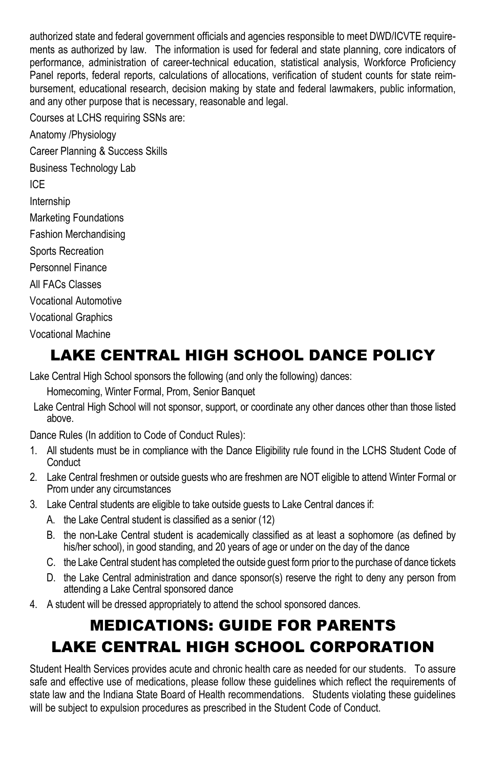authorized state and federal government officials and agencies responsible to meet DWD/ICVTE requirements as authorized by law. The information is used for federal and state planning, core indicators of performance, administration of career-technical education, statistical analysis, Workforce Proficiency Panel reports, federal reports, calculations of allocations, verification of student counts for state reimbursement, educational research, decision making by state and federal lawmakers, public information, and any other purpose that is necessary, reasonable and legal.

Courses at LCHS requiring SSNs are:

Anatomy /Physiology Career Planning & Success Skills Business Technology Lab ICE Internship Marketing Foundations Fashion Merchandising Sports Recreation Personnel Finance All FACs Classes Vocational Automotive Vocational Graphics Vocational Machine

# LAKE CENTRAL HIGH SCHOOL DANCE POLICY

Lake Central High School sponsors the following (and only the following) dances:

Homecoming, Winter Formal, Prom, Senior Banquet

Lake Central High School will not sponsor, support, or coordinate any other dances other than those listed above.

Dance Rules (In addition to Code of Conduct Rules):

- 1. All students must be in compliance with the Dance Eligibility rule found in the LCHS Student Code of **Conduct**
- 2. Lake Central freshmen or outside guests who are freshmen are NOT eligible to attend Winter Formal or Prom under any circumstances
- 3. Lake Central students are eligible to take outside guests to Lake Central dances if:
	- A. the Lake Central student is classified as a senior (12)
	- B. the non-Lake Central student is academically classified as at least a sophomore (as defined by his/her school), in good standing, and 20 years of age or under on the day of the dance
	- C. the Lake Central student has completed the outside guest form prior to the purchase of dance tickets
	- D. the Lake Central administration and dance sponsor(s) reserve the right to deny any person from attending a Lake Central sponsored dance
- 4. A student will be dressed appropriately to attend the school sponsored dances.

# MEDICATIONS: GUIDE FOR PARENTS LAKE CENTRAL HIGH SCHOOL CORPORATION

Student Health Services provides acute and chronic health care as needed for our students. To assure safe and effective use of medications, please follow these guidelines which reflect the requirements of state law and the Indiana State Board of Health recommendations. Students violating these guidelines will be subject to expulsion procedures as prescribed in the Student Code of Conduct.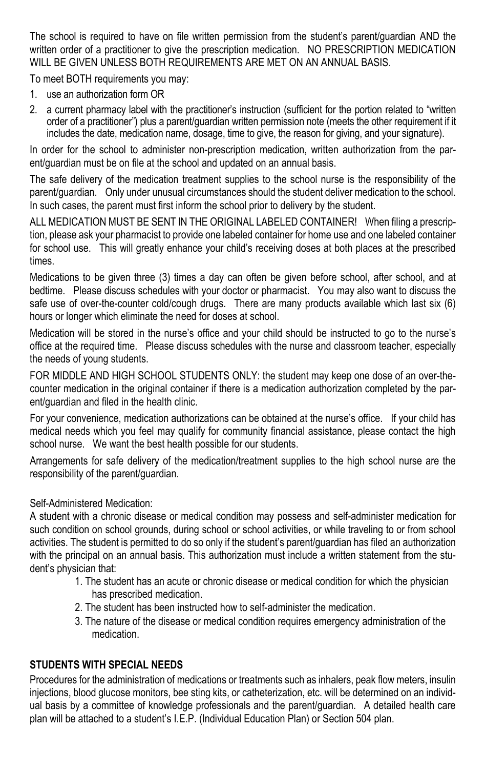The school is required to have on file written permission from the student's parent/guardian AND the written order of a practitioner to give the prescription medication. NO PRESCRIPTION MEDICATION WILL BE GIVEN UNLESS BOTH REQUIREMENTS ARE MET ON AN ANNUAL BASIS.

To meet BOTH requirements you may:

- 1. use an authorization form OR
- 2. a current pharmacy label with the practitioner's instruction (sufficient for the portion related to "written order of a practitioner") plus a parent/guardian written permission note (meets the other requirement if it includes the date, medication name, dosage, time to give, the reason for giving, and your signature).

In order for the school to administer non-prescription medication, written authorization from the parent/guardian must be on file at the school and updated on an annual basis.

The safe delivery of the medication treatment supplies to the school nurse is the responsibility of the parent/guardian. Only under unusual circumstances should the student deliver medication to the school. In such cases, the parent must first inform the school prior to delivery by the student.

ALL MEDICATION MUST BE SENT IN THE ORIGINAL LABELED CONTAINER! When filing a prescription, please ask your pharmacist to provide one labeled container for home use and one labeled container for school use. This will greatly enhance your child's receiving doses at both places at the prescribed times.

Medications to be given three (3) times a day can often be given before school, after school, and at bedtime. Please discuss schedules with your doctor or pharmacist. You may also want to discuss the safe use of over-the-counter cold/cough drugs. There are many products available which last six (6) hours or longer which eliminate the need for doses at school.

Medication will be stored in the nurse's office and your child should be instructed to go to the nurse's office at the required time. Please discuss schedules with the nurse and classroom teacher, especially the needs of young students.

FOR MIDDLE AND HIGH SCHOOL STUDENTS ONLY: the student may keep one dose of an over-thecounter medication in the original container if there is a medication authorization completed by the parent/guardian and filed in the health clinic.

For your convenience, medication authorizations can be obtained at the nurse's office. If your child has medical needs which you feel may qualify for community financial assistance, please contact the high school nurse. We want the best health possible for our students.

Arrangements for safe delivery of the medication/treatment supplies to the high school nurse are the responsibility of the parent/guardian.

### Self-Administered Medication:

A student with a chronic disease or medical condition may possess and self-administer medication for such condition on school grounds, during school or school activities, or while traveling to or from school activities. The student is permitted to do so only if the student's parent/guardian has filed an authorization with the principal on an annual basis. This authorization must include a written statement from the student's physician that:

- 1. The student has an acute or chronic disease or medical condition for which the physician has prescribed medication.
- 2. The student has been instructed how to self-administer the medication.
- 3. The nature of the disease or medical condition requires emergency administration of the medication.

### **STUDENTS WITH SPECIAL NEEDS**

Procedures for the administration of medications or treatments such as inhalers, peak flow meters, insulin injections, blood glucose monitors, bee sting kits, or catheterization, etc. will be determined on an individual basis by a committee of knowledge professionals and the parent/guardian. A detailed health care plan will be attached to a student's I.E.P. (Individual Education Plan) or Section 504 plan.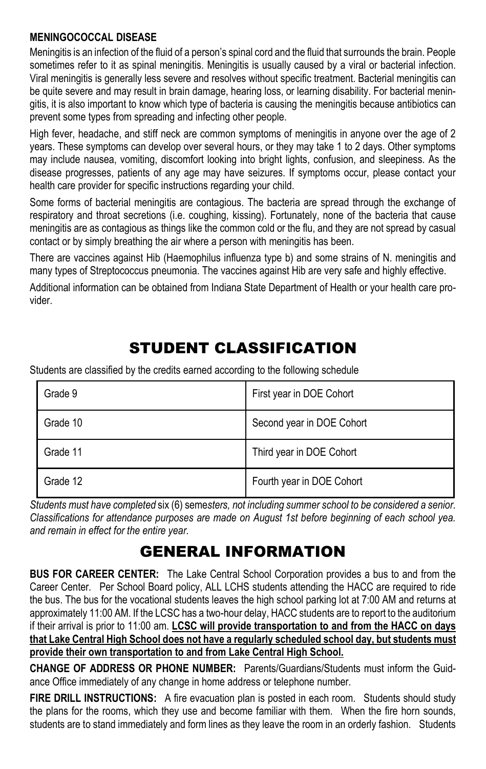### **MENINGOCOCCAL DISEASE**

Meningitis is an infection of the fluid of a person's spinal cord and the fluid that surrounds the brain. People sometimes refer to it as spinal meningitis. Meningitis is usually caused by a viral or bacterial infection. Viral meningitis is generally less severe and resolves without specific treatment. Bacterial meningitis can be quite severe and may result in brain damage, hearing loss, or learning disability. For bacterial meningitis, it is also important to know which type of bacteria is causing the meningitis because antibiotics can prevent some types from spreading and infecting other people.

High fever, headache, and stiff neck are common symptoms of meningitis in anyone over the age of 2 years. These symptoms can develop over several hours, or they may take 1 to 2 days. Other symptoms may include nausea, vomiting, discomfort looking into bright lights, confusion, and sleepiness. As the disease progresses, patients of any age may have seizures. If symptoms occur, please contact your health care provider for specific instructions regarding your child.

Some forms of bacterial meningitis are contagious. The bacteria are spread through the exchange of respiratory and throat secretions (i.e. coughing, kissing). Fortunately, none of the bacteria that cause meningitis are as contagious as things like the common cold or the flu, and they are not spread by casual contact or by simply breathing the air where a person with meningitis has been.

There are vaccines against Hib (Haemophilus influenza type b) and some strains of N. meningitis and many types of Streptococcus pneumonia. The vaccines against Hib are very safe and highly effective.

Additional information can be obtained from Indiana State Department of Health or your health care provider.

# STUDENT CLASSIFICATION

Students are classified by the credits earned according to the following schedule

| Grade 9  | First year in DOE Cohort  |
|----------|---------------------------|
| Grade 10 | Second year in DOE Cohort |
| Grade 11 | Third year in DOE Cohort  |
| Grade 12 | Fourth year in DOE Cohort |

*Students must have completed* six (6) seme*sters, not including summer school to be considered a senior. Classifications for attendance purposes are made on August 1st before beginning of each school yea. and remain in effect for the entire year.*

## GENERAL INFORMATION

**BUS FOR CAREER CENTER:** The Lake Central School Corporation provides a bus to and from the Career Center. Per School Board policy, ALL LCHS students attending the HACC are required to ride the bus. The bus for the vocational students leaves the high school parking lot at 7:00 AM and returns at approximately 11:00 AM. If the LCSC has a two-hour delay, HACC students are to report to the auditorium if their arrival is prior to 11:00 am. **LCSC will provide transportation to and from the HACC on days that Lake Central High School does not have a regularly scheduled school day, but students must provide their own transportation to and from Lake Central High School.**

**CHANGE OF ADDRESS OR PHONE NUMBER:** Parents/Guardians/Students must inform the Guidance Office immediately of any change in home address or telephone number.

**FIRE DRILL INSTRUCTIONS:** A fire evacuation plan is posted in each room. Students should study the plans for the rooms, which they use and become familiar with them. When the fire horn sounds, students are to stand immediately and form lines as they leave the room in an orderly fashion. Students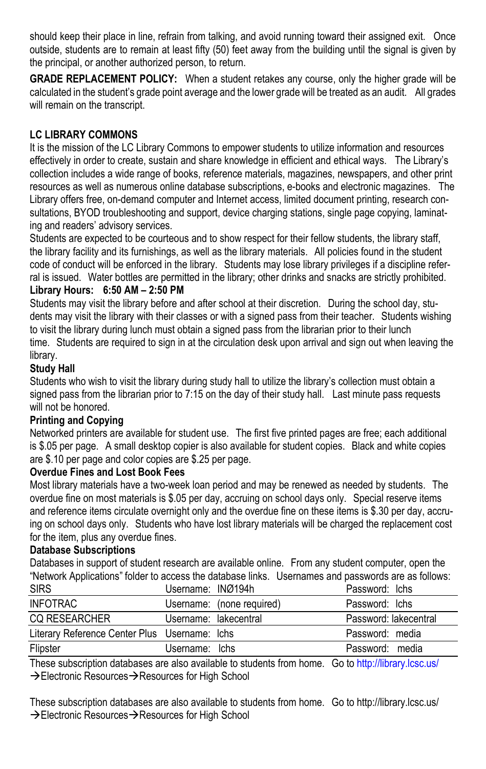should keep their place in line, refrain from talking, and avoid running toward their assigned exit. Once outside, students are to remain at least fifty (50) feet away from the building until the signal is given by the principal, or another authorized person, to return.

**GRADE REPLACEMENT POLICY:** When a student retakes any course, only the higher grade will be calculated in the student's grade point average and the lower grade will be treated as an audit. All grades will remain on the transcript.

### **LC LIBRARY COMMONS**

It is the mission of the LC Library Commons to empower students to utilize information and resources effectively in order to create, sustain and share knowledge in efficient and ethical ways. The Library's collection includes a wide range of books, reference materials, magazines, newspapers, and other print resources as well as numerous online database subscriptions, e-books and electronic magazines. The Library offers free, on-demand computer and Internet access, limited document printing, research consultations, BYOD troubleshooting and support, device charging stations, single page copying, laminating and readers' advisory services.

Students are expected to be courteous and to show respect for their fellow students, the library staff, the library facility and its furnishings, as well as the library materials. All policies found in the student code of conduct will be enforced in the library. Students may lose library privileges if a discipline referral is issued. Water bottles are permitted in the library; other drinks and snacks are strictly prohibited. **Library Hours: 6:50 AM – 2:50 PM**

Students may visit the library before and after school at their discretion. During the school day, students may visit the library with their classes or with a signed pass from their teacher. Students wishing to visit the library during lunch must obtain a signed pass from the librarian prior to their lunch time. Students are required to sign in at the circulation desk upon arrival and sign out when leaving the library.

### **Study Hall**

Students who wish to visit the library during study hall to utilize the library's collection must obtain a signed pass from the librarian prior to 7:15 on the day of their study hall. Last minute pass requests will not be honored.

### **Printing and Copying**

Networked printers are available for student use. The first five printed pages are free; each additional is \$.05 per page. A small desktop copier is also available for student copies. Black and white copies are \$.10 per page and color copies are \$.25 per page.

### **Overdue Fines and Lost Book Fees**

Most library materials have a two-week loan period and may be renewed as needed by students. The overdue fine on most materials is \$.05 per day, accruing on school days only. Special reserve items and reference items circulate overnight only and the overdue fine on these items is \$.30 per day, accruing on school days only. Students who have lost library materials will be charged the replacement cost for the item, plus any overdue fines.

### **Database Subscriptions**

Databases in support of student research are available online. From any student computer, open the "Network Applications" folder to access the database links. Usernames and passwords are as follows: I learname: INØ104h

| ১৷নত                                          | USCIIIAIIIC. INVIJ4II |                           | Password. ICIIS                                         |
|-----------------------------------------------|-----------------------|---------------------------|---------------------------------------------------------|
| INFOTRAC                                      |                       | Username: (none required) | Password: Ichs                                          |
| <b>CO RESEARCHER</b>                          |                       | Username: lakecentral     | Password: lakecentral                                   |
| Literary Reference Center Plus Username: Ichs |                       |                           | Password: media                                         |
| Flipster                                      | Username: Ichs        |                           | Password: media                                         |
|                                               |                       |                           | $\sim$ $\sim$ $\sim$ $\sim$ $\sim$ $\sim$ $\sim$ $\sim$ |

These subscription databases are also available to students from home. Go t[o http://library.lcsc.us/](http://library.lcsc.us/)  $\rightarrow$  Electronic Resources $\rightarrow$  Resources for High School

These subscription databases are also available to students from home. Go to http://library.lcsc.us/  $\rightarrow$  Electronic Resources $\rightarrow$  Resources for High School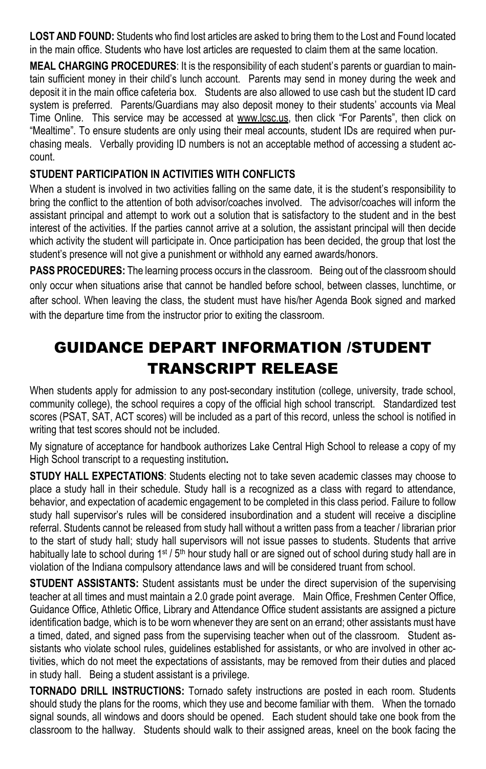**LOST AND FOUND:** Students who find lost articles are asked to bring them to the Lost and Found located in the main office. Students who have lost articles are requested to claim them at the same location.

**MEAL CHARGING PROCEDURES**: It is the responsibility of each student's parents or guardian to maintain sufficient money in their child's lunch account. Parents may send in money during the week and deposit it in the main office cafeteria box. Students are also allowed to use cash but the student ID card system is preferred. Parents/Guardians may also deposit money to their students' accounts via Meal Time Online. This service may be accessed at www.lcsc.us, then click "For Parents", then click on "Mealtime". To ensure students are only using their meal accounts, student IDs are required when purchasing meals. Verbally providing ID numbers is not an acceptable method of accessing a student account.

### **STUDENT PARTICIPATION IN ACTIVITIES WITH CONFLICTS**

When a student is involved in two activities falling on the same date, it is the student's responsibility to bring the conflict to the attention of both advisor/coaches involved. The advisor/coaches will inform the assistant principal and attempt to work out a solution that is satisfactory to the student and in the best interest of the activities. If the parties cannot arrive at a solution, the assistant principal will then decide which activity the student will participate in. Once participation has been decided, the group that lost the student's presence will not give a punishment or withhold any earned awards/honors.

**PASS PROCEDURES:** The learning process occurs in the classroom. Being out of the classroom should only occur when situations arise that cannot be handled before school, between classes, lunchtime, or after school. When leaving the class, the student must have his/her Agenda Book signed and marked with the departure time from the instructor prior to exiting the classroom.

# GUIDANCE DEPART INFORMATION /STUDENT TRANSCRIPT RELEASE

When students apply for admission to any post-secondary institution (college, university, trade school, community college), the school requires a copy of the official high school transcript. Standardized test scores (PSAT, SAT, ACT scores) will be included as a part of this record, unless the school is notified in writing that test scores should not be included.

My signature of acceptance for handbook authorizes Lake Central High School to release a copy of my High School transcript to a requesting institution**.**

**STUDY HALL EXPECTATIONS:** Students electing not to take seven academic classes may choose to place a study hall in their schedule. Study hall is a recognized as a class with regard to attendance, behavior, and expectation of academic engagement to be completed in this class period. Failure to follow study hall supervisor's rules will be considered insubordination and a student will receive a discipline referral. Students cannot be released from study hall without a written pass from a teacher / librarian prior to the start of study hall; study hall supervisors will not issue passes to students. Students that arrive habitually late to school during  $1^{st}$  / 5<sup>th</sup> hour study hall or are signed out of school during study hall are in violation of the Indiana compulsory attendance laws and will be considered truant from school.

**STUDENT ASSISTANTS:** Student assistants must be under the direct supervision of the supervising teacher at all times and must maintain a 2.0 grade point average. Main Office, Freshmen Center Office, Guidance Office, Athletic Office, Library and Attendance Office student assistants are assigned a picture identification badge, which is to be worn whenever they are sent on an errand; other assistants must have a timed, dated, and signed pass from the supervising teacher when out of the classroom. Student assistants who violate school rules, guidelines established for assistants, or who are involved in other activities, which do not meet the expectations of assistants, may be removed from their duties and placed in study hall. Being a student assistant is a privilege.

**TORNADO DRILL INSTRUCTIONS:** Tornado safety instructions are posted in each room. Students should study the plans for the rooms, which they use and become familiar with them. When the tornado signal sounds, all windows and doors should be opened. Each student should take one book from the classroom to the hallway. Students should walk to their assigned areas, kneel on the book facing the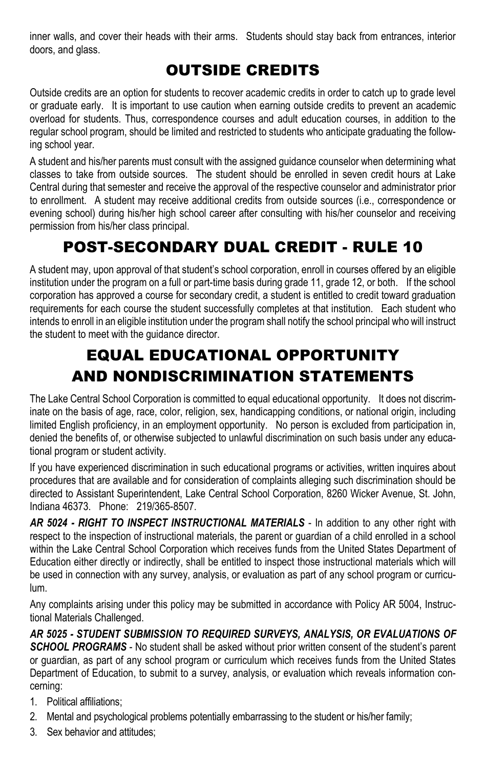inner walls, and cover their heads with their arms. Students should stay back from entrances, interior doors, and glass.

## OUTSIDE CREDITS

Outside credits are an option for students to recover academic credits in order to catch up to grade level or graduate early. It is important to use caution when earning outside credits to prevent an academic overload for students. Thus, correspondence courses and adult education courses, in addition to the regular school program, should be limited and restricted to students who anticipate graduating the following school year.

A student and his/her parents must consult with the assigned guidance counselor when determining what classes to take from outside sources. The student should be enrolled in seven credit hours at Lake Central during that semester and receive the approval of the respective counselor and administrator prior to enrollment. A student may receive additional credits from outside sources (i.e., correspondence or evening school) during his/her high school career after consulting with his/her counselor and receiving permission from his/her class principal.

## POST-SECONDARY DUAL CREDIT - RULE 10

A student may, upon approval of that student's school corporation, enroll in courses offered by an eligible institution under the program on a full or part-time basis during grade 11, grade 12, or both. If the school corporation has approved a course for secondary credit, a student is entitled to credit toward graduation requirements for each course the student successfully completes at that institution. Each student who intends to enroll in an eligible institution under the program shall notify the school principal who will instruct the student to meet with the guidance director.

# EQUAL EDUCATIONAL OPPORTUNITY AND NONDISCRIMINATION STATEMENTS

The Lake Central School Corporation is committed to equal educational opportunity. It does not discriminate on the basis of age, race, color, religion, sex, handicapping conditions, or national origin, including limited English proficiency, in an employment opportunity. No person is excluded from participation in, denied the benefits of, or otherwise subjected to unlawful discrimination on such basis under any educational program or student activity.

If you have experienced discrimination in such educational programs or activities, written inquires about procedures that are available and for consideration of complaints alleging such discrimination should be directed to Assistant Superintendent, Lake Central School Corporation, 8260 Wicker Avenue, St. John, Indiana 46373. Phone: 219/365-8507.

*AR 5024 - RIGHT TO INSPECT INSTRUCTIONAL MATERIALS* - In addition to any other right with respect to the inspection of instructional materials, the parent or guardian of a child enrolled in a school within the Lake Central School Corporation which receives funds from the United States Department of Education either directly or indirectly, shall be entitled to inspect those instructional materials which will be used in connection with any survey, analysis, or evaluation as part of any school program or curriculum.

Any complaints arising under this policy may be submitted in accordance with Policy AR 5004, Instructional Materials Challenged.

*AR 5025 - STUDENT SUBMISSION TO REQUIRED SURVEYS, ANALYSIS, OR EVALUATIONS OF SCHOOL PROGRAMS* - No student shall be asked without prior written consent of the student's parent or guardian, as part of any school program or curriculum which receives funds from the United States Department of Education, to submit to a survey, analysis, or evaluation which reveals information concerning:

- 1. Political affiliations;
- 2. Mental and psychological problems potentially embarrassing to the student or his/her family;
- 3. Sex behavior and attitudes;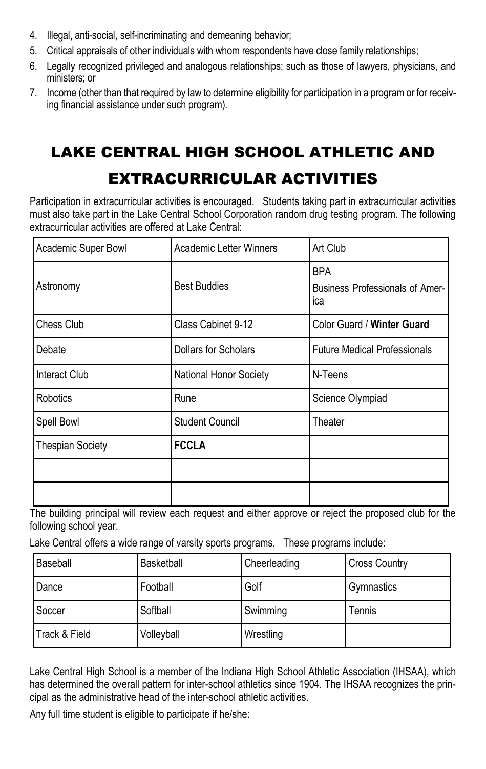- 4. Illegal, anti-social, self-incriminating and demeaning behavior;
- 5. Critical appraisals of other individuals with whom respondents have close family relationships;
- 6. Legally recognized privileged and analogous relationships; such as those of lawyers, physicians, and ministers; or
- 7. Income (other than that required by law to determine eligibility for participation in a program or for receiving financial assistance under such program).

# LAKE CENTRAL HIGH SCHOOL ATHLETIC AND

## EXTRACURRICULAR ACTIVITIES

Participation in extracurricular activities is encouraged. Students taking part in extracurricular activities must also take part in the Lake Central School Corporation random drug testing program. The following extracurricular activities are offered at Lake Central:

| Academic Super Bowl     | Art Club<br>Academic Letter Winners              |                                                             |
|-------------------------|--------------------------------------------------|-------------------------------------------------------------|
| Astronomy               | <b>Best Buddies</b>                              | <b>BPA</b><br><b>Business Professionals of Amer-</b><br>ica |
| Chess Club              | Class Cabinet 9-12<br>Color Guard / Winter Guard |                                                             |
| Debate                  | Dollars for Scholars                             | <b>Future Medical Professionals</b>                         |
| Interact Club           | <b>National Honor Society</b>                    | N-Teens                                                     |
| Robotics                | Rune                                             | Science Olympiad                                            |
| Spell Bowl              | Student Council                                  | Theater                                                     |
| <b>Thespian Society</b> | <b>FCCLA</b>                                     |                                                             |
|                         |                                                  |                                                             |
|                         |                                                  |                                                             |

The building principal will review each request and either approve or reject the proposed club for the following school year.

Lake Central offers a wide range of varsity sports programs. These programs include:

| Baseball      | Basketball | Cheerleading | <b>Cross Country</b> |
|---------------|------------|--------------|----------------------|
| Dance         | Football   | Golf         | Gymnastics           |
| Soccer        | Softball   | Swimming     | Tennis               |
| Track & Field | Volleyball | Wrestling    |                      |

Lake Central High School is a member of the Indiana High School Athletic Association (IHSAA), which has determined the overall pattern for inter-school athletics since 1904. The IHSAA recognizes the principal as the administrative head of the inter-school athletic activities.

Any full time student is eligible to participate if he/she: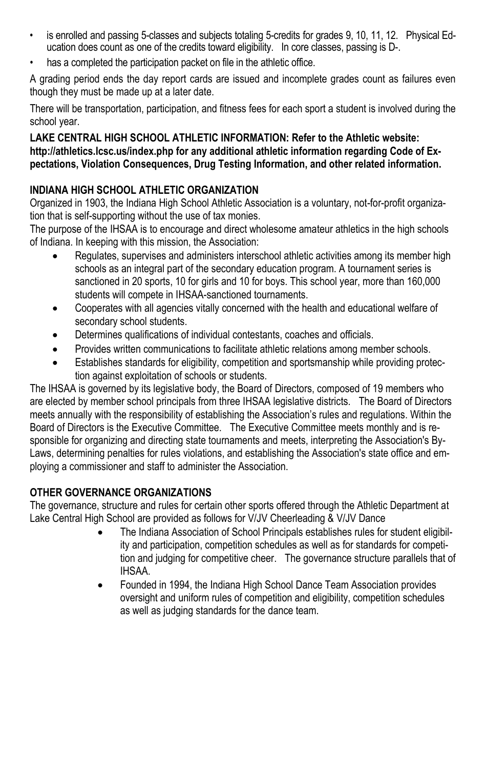- is enrolled and passing 5-classes and subjects totaling 5-credits for grades 9, 10, 11, 12. Physical Education does count as one of the credits toward eligibility. In core classes, passing is D-.
- has a completed the participation packet on file in the athletic office.

A grading period ends the day report cards are issued and incomplete grades count as failures even though they must be made up at a later date.

There will be transportation, participation, and fitness fees for each sport a student is involved during the school year.

### **LAKE CENTRAL HIGH SCHOOL ATHLETIC INFORMATION: Refer to the Athletic website: http://athletics.lcsc.us/index.php for any additional athletic information regarding Code of Expectations, Violation Consequences, Drug Testing Information, and other related information.**

### **INDIANA HIGH SCHOOL ATHLETIC ORGANIZATION**

Organized in 1903, the Indiana High School Athletic Association is a voluntary, not-for-profit organization that is self-supporting without the use of tax monies.

The purpose of the IHSAA is to encourage and direct wholesome amateur athletics in the high schools of Indiana. In keeping with this mission, the Association:

- Regulates, supervises and administers interschool athletic activities among its member high schools as an integral part of the secondary education program. A tournament series is sanctioned in 20 sports, 10 for girls and 10 for boys. This school year, more than 160,000 students will compete in IHSAA-sanctioned tournaments.
- Cooperates with all agencies vitally concerned with the health and educational welfare of secondary school students.
- Determines qualifications of individual contestants, coaches and officials.
- Provides written communications to facilitate athletic relations among member schools.
- Establishes standards for eligibility, competition and sportsmanship while providing protection against exploitation of schools or students.

The IHSAA is governed by its legislative body, the Board of Directors, composed of 19 members who are elected by member school principals from three IHSAA legislative districts. The Board of Directors meets annually with the responsibility of establishing the Association's rules and regulations. Within the Board of Directors is the Executive Committee. The Executive Committee meets monthly and is responsible for organizing and directing state tournaments and meets, interpreting the Association's By-Laws, determining penalties for rules violations, and establishing the Association's state office and employing a commissioner and staff to administer the Association.

### **OTHER GOVERNANCE ORGANIZATIONS**

The governance, structure and rules for certain other sports offered through the Athletic Department at Lake Central High School are provided as follows for V/JV Cheerleading & V/JV Dance

- The Indiana Association of School Principals establishes rules for student eligibility and participation, competition schedules as well as for standards for competition and judging for competitive cheer. The governance structure parallels that of IHSAA.
- Founded in 1994, the Indiana High School Dance Team Association provides oversight and uniform rules of competition and eligibility, competition schedules as well as judging standards for the dance team.